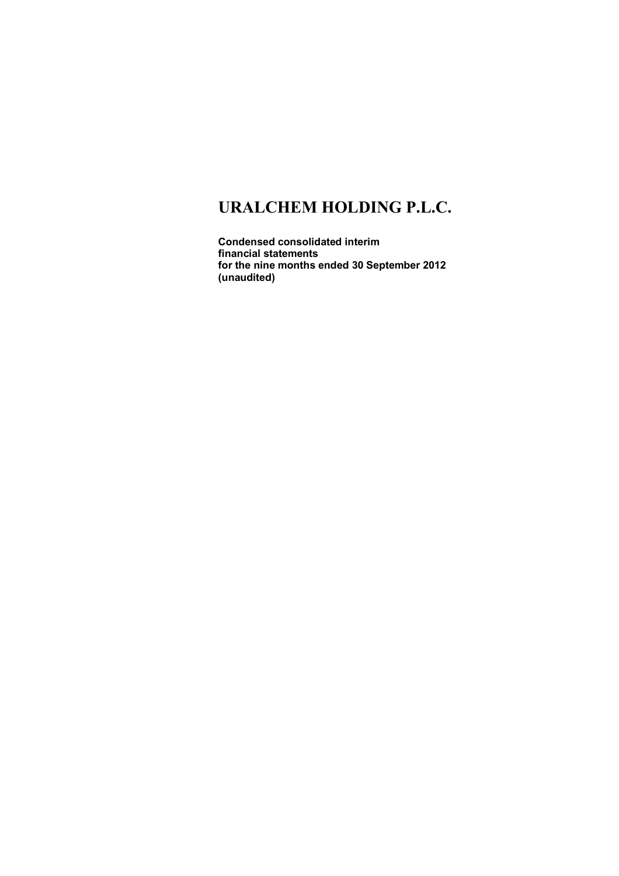**Condensed consolidated interim financial statements for the nine months ended 30 September 2012 (unaudited)**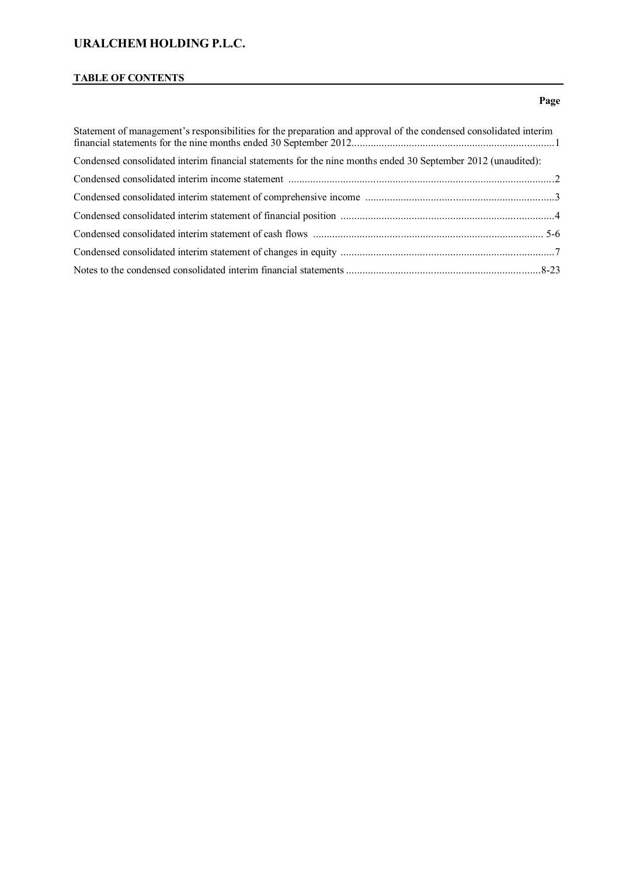# **TABLE OF CONTENTS**

### **Page**

| Statement of management's responsibilities for the preparation and approval of the condensed consolidated interim                                                                                                                             |  |
|-----------------------------------------------------------------------------------------------------------------------------------------------------------------------------------------------------------------------------------------------|--|
| Condensed consolidated interim financial statements for the nine months ended 30 September 2012 (unaudited):                                                                                                                                  |  |
| Condensed consolidated interim income statement manufactured consolidated interim income statement manufactured and the statement manufactured and the statement of the statement of the statement of the statement of the sta                |  |
|                                                                                                                                                                                                                                               |  |
| Condensed consolidated interim statement of financial position <i>manufacture content</i> and the content of financial position <i>manufacture content</i> and the content of financial position <i>manufacture content</i> and the content o |  |
|                                                                                                                                                                                                                                               |  |
|                                                                                                                                                                                                                                               |  |
|                                                                                                                                                                                                                                               |  |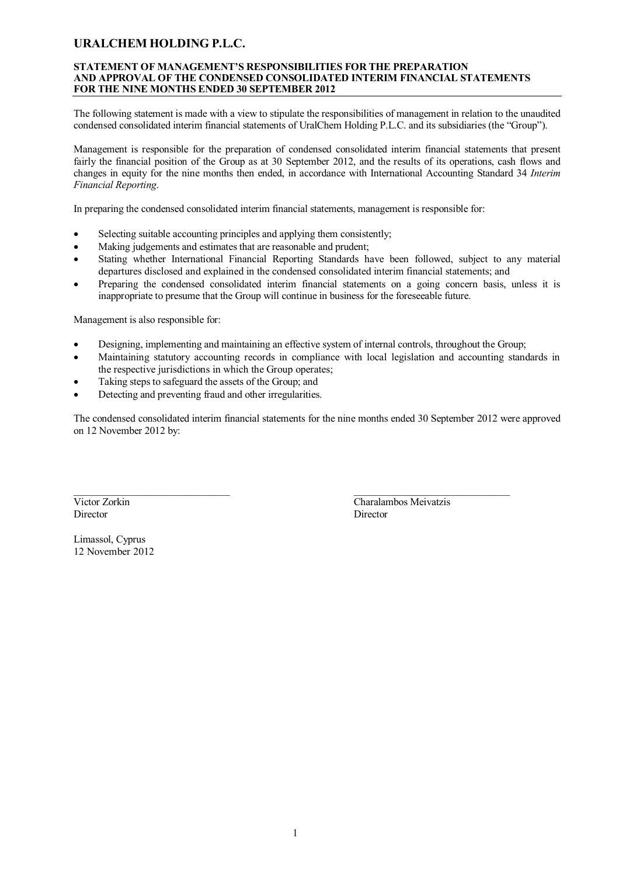#### **STATEMENT OF MANAGEMENT'S RESPONSIBILITIES FOR THE PREPARATION AND APPROVAL OF THE CONDENSED CONSOLIDATED INTERIM FINANCIAL STATEMENTS FOR THE NINE MONTHS ENDED 30 SEPTEMBER 2012**

The following statement is made with a view to stipulate the responsibilities of management in relation to the unaudited condensed consolidated interim financial statements of UralChem Holding P.L.C. and its subsidiaries (the "Group").

Management is responsible for the preparation of condensed consolidated interim financial statements that present fairly the financial position of the Group as at 30 September 2012, and the results of its operations, cash flows and changes in equity for the nine months then ended, in accordance with International Accounting Standard 34 *Interim Financial Reporting*.

In preparing the condensed consolidated interim financial statements, management is responsible for:

- Selecting suitable accounting principles and applying them consistently;
- Making judgements and estimates that are reasonable and prudent;
- Stating whether International Financial Reporting Standards have been followed, subject to any material departures disclosed and explained in the condensed consolidated interim financial statements; and
- Preparing the condensed consolidated interim financial statements on a going concern basis, unless it is inappropriate to presume that the Group will continue in business for the foreseeable future.

Management is also responsible for:

- Designing, implementing and maintaining an effective system of internal controls, throughout the Group;
- Maintaining statutory accounting records in compliance with local legislation and accounting standards in the respective jurisdictions in which the Group operates;
- Taking steps to safeguard the assets of the Group; and
- Detecting and preventing fraud and other irregularities.

The condensed consolidated interim financial statements for the nine months ended 30 September 2012 were approved on 12 November 2012 by:

Director Director

 $\frac{1}{2}$  , and the set of the set of the set of the set of the set of the set of the set of the set of the set of the set of the set of the set of the set of the set of the set of the set of the set of the set of the set Victor Zorkin Charalambos Meivatzis

Limassol, Cyprus 12 November 2012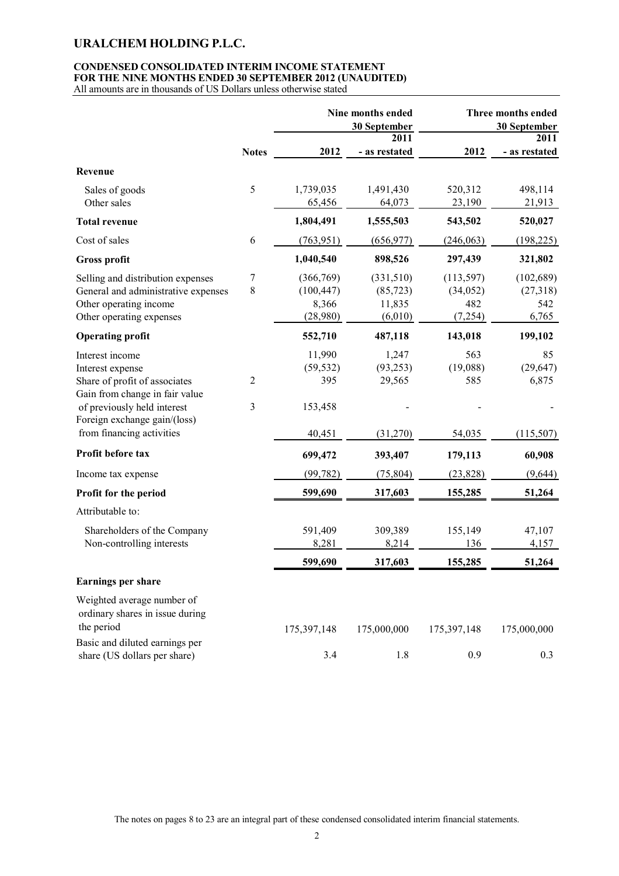### **CONDENSED CONSOLIDATED INTERIM INCOME STATEMENT FOR THE NINE MONTHS ENDED 30 SEPTEMBER 2012 (UNAUDITED)**

All amounts are in thousands of US Dollars unless otherwise stated

|                                     |              |             | Nine months ended<br>30 September |             | Three months ended<br>30 September |
|-------------------------------------|--------------|-------------|-----------------------------------|-------------|------------------------------------|
|                                     |              |             | 2011                              |             | 2011                               |
|                                     | <b>Notes</b> | 2012        | - as restated                     | 2012        | - as restated                      |
| Revenue                             |              |             |                                   |             |                                    |
| Sales of goods                      | 5            | 1,739,035   | 1,491,430                         | 520,312     | 498,114                            |
| Other sales                         |              | 65,456      | 64,073                            | 23,190      | 21,913                             |
| <b>Total revenue</b>                |              | 1,804,491   | 1,555,503                         | 543,502     | 520,027                            |
| Cost of sales                       | 6            | (763, 951)  | (656, 977)                        | (246, 063)  | (198, 225)                         |
| <b>Gross profit</b>                 |              | 1,040,540   | 898,526                           | 297,439     | 321,802                            |
| Selling and distribution expenses   | 7            | (366, 769)  | (331,510)                         | (113, 597)  | (102, 689)                         |
| General and administrative expenses | 8            | (100, 447)  | (85, 723)                         | (34, 052)   | (27,318)                           |
| Other operating income              |              | 8,366       | 11,835                            | 482         | 542                                |
| Other operating expenses            |              | (28,980)    | (6,010)                           | (7, 254)    | 6,765                              |
| <b>Operating profit</b>             |              | 552,710     | 487,118                           | 143,018     | 199,102                            |
| Interest income                     |              | 11,990      | 1,247                             | 563         | 85                                 |
| Interest expense                    |              | (59, 532)   | (93, 253)                         | (19,088)    | (29, 647)                          |
| Share of profit of associates       | 2            | 395         | 29,565                            | 585         | 6,875                              |
| Gain from change in fair value      |              |             |                                   |             |                                    |
| of previously held interest         | 3            | 153,458     |                                   |             |                                    |
| Foreign exchange gain/(loss)        |              |             |                                   |             |                                    |
| from financing activities           |              | 40,451      | (31,270)                          | 54,035      | (115,507)                          |
| Profit before tax                   |              | 699,472     | 393,407                           | 179,113     | 60,908                             |
| Income tax expense                  |              | (99, 782)   | (75, 804)                         | (23, 828)   | (9,644)                            |
| Profit for the period               |              | 599,690     | 317,603                           | 155,285     | 51,264                             |
| Attributable to:                    |              |             |                                   |             |                                    |
| Shareholders of the Company         |              | 591,409     | 309,389                           | 155,149     | 47,107                             |
| Non-controlling interests           |              | 8,281       | 8,214                             | 136         | 4,157                              |
|                                     |              | 599,690     | 317,603                           | 155,285     | 51,264                             |
| <b>Earnings per share</b>           |              |             |                                   |             |                                    |
| Weighted average number of          |              |             |                                   |             |                                    |
| ordinary shares in issue during     |              |             |                                   |             |                                    |
| the period                          |              | 175,397,148 | 175,000,000                       | 175,397,148 | 175,000,000                        |
| Basic and diluted earnings per      |              |             |                                   |             |                                    |
| share (US dollars per share)        |              | 3.4         | 1.8                               | 0.9         | 0.3                                |

The notes on pages 8 to 23 are an integral part of these condensed consolidated interim financial statements.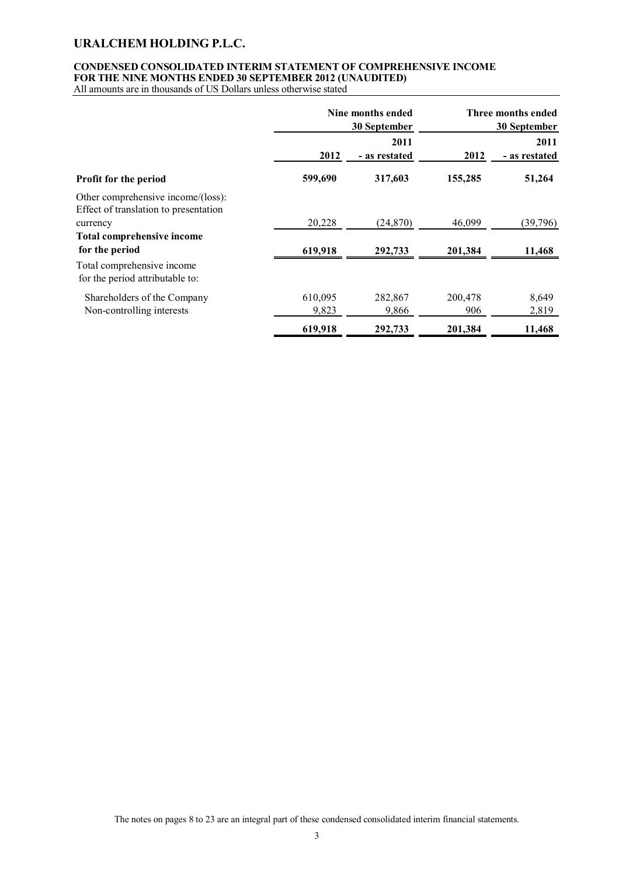### **CONDENSED CONSOLIDATED INTERIM STATEMENT OF COMPREHENSIVE INCOME FOR THE NINE MONTHS ENDED 30 SEPTEMBER 2012 (UNAUDITED)**

All amounts are in thousands of US Dollars unless otherwise stated

|                                                                                         | Nine months ended<br>30 September |                       | Three months ended<br>30 September |                       |
|-----------------------------------------------------------------------------------------|-----------------------------------|-----------------------|------------------------------------|-----------------------|
|                                                                                         | 2012                              | 2011<br>- as restated | 2012                               | 2011<br>- as restated |
| Profit for the period                                                                   | 599,690                           | 317,603               | 155,285                            | 51,264                |
| Other comprehensive income/(loss):<br>Effect of translation to presentation<br>currency | 20,228                            | (24,870)              | 46,099                             | (39,796)              |
| <b>Total comprehensive income</b><br>for the period                                     | 619,918                           | 292,733               | 201,384                            | 11,468                |
| Total comprehensive income<br>for the period attributable to:                           |                                   |                       |                                    |                       |
| Shareholders of the Company<br>Non-controlling interests                                | 610,095<br>9,823                  | 282,867<br>9,866      | 200,478<br>906                     | 8,649<br>2,819        |
|                                                                                         | 619,918                           | 292,733               | 201,384                            | 11,468                |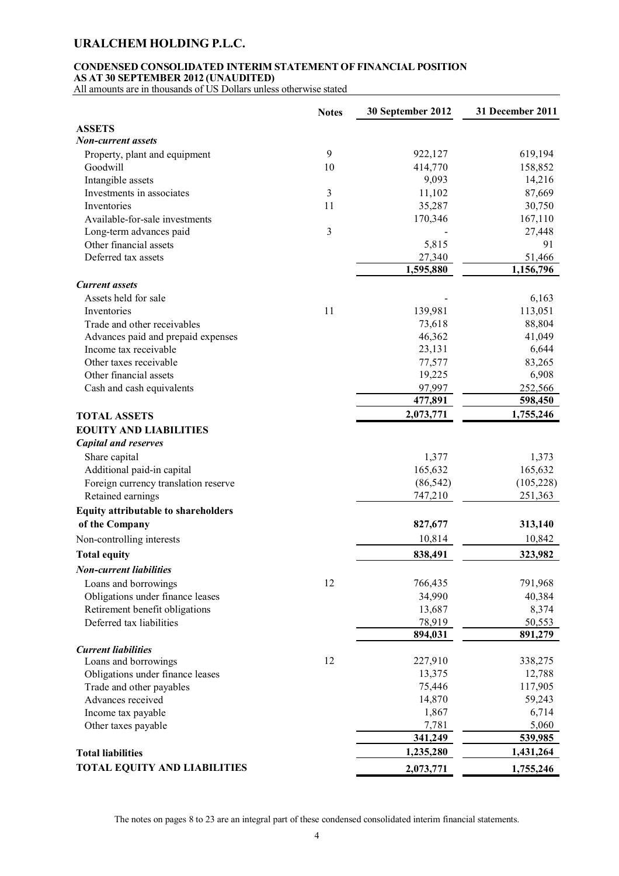### **CONDENSED CONSOLIDATED INTERIM STATEMENT OF FINANCIAL POSITION AS AT 30 SEPTEMBER 2012 (UNAUDITED)**

All amounts are in thousands of US Dollars unless otherwise stated

|                                                            | <b>Notes</b>   | 30 September 2012 | 31 December 2011  |
|------------------------------------------------------------|----------------|-------------------|-------------------|
| <b>ASSETS</b>                                              |                |                   |                   |
| Non-current assets                                         |                |                   |                   |
| Property, plant and equipment                              | 9              | 922,127           | 619,194           |
| Goodwill                                                   | 10             | 414,770           | 158,852           |
| Intangible assets                                          |                | 9,093             | 14,216            |
| Investments in associates                                  | $\mathfrak{Z}$ | 11,102            | 87,669            |
| Inventories                                                | 11             | 35,287            | 30,750            |
| Available-for-sale investments                             |                | 170,346           | 167,110           |
| Long-term advances paid                                    | $\mathfrak{Z}$ |                   | 27,448            |
| Other financial assets                                     |                | 5,815             | 91                |
| Deferred tax assets                                        |                | 27,340            | 51,466            |
|                                                            |                | 1,595,880         | 1,156,796         |
| <b>Current</b> assets                                      |                |                   |                   |
| Assets held for sale                                       |                |                   | 6,163             |
| Inventories                                                | 11             | 139,981           | 113,051           |
| Trade and other receivables                                |                | 73,618            | 88,804            |
| Advances paid and prepaid expenses                         |                | 46,362            | 41,049            |
| Income tax receivable                                      |                | 23,131            | 6,644             |
| Other taxes receivable                                     |                | 77,577            | 83,265            |
| Other financial assets                                     |                | 19,225            | 6,908             |
| Cash and cash equivalents                                  |                | 97,997            | 252,566           |
|                                                            |                | 477,891           | 598,450           |
| <b>TOTAL ASSETS</b>                                        |                | 2,073,771         | 1,755,246         |
|                                                            |                |                   |                   |
| <b>EOUITY AND LIABILITIES</b>                              |                |                   |                   |
| <b>Capital and reserves</b>                                |                |                   |                   |
| Share capital                                              |                | 1,377             | 1,373             |
| Additional paid-in capital                                 |                | 165,632           | 165,632           |
| Foreign currency translation reserve                       |                | (86, 542)         | (105, 228)        |
| Retained earnings                                          |                | 747,210           | 251,363           |
| Equity attributable to shareholders                        |                |                   |                   |
| of the Company                                             |                | 827,677           | 313,140           |
| Non-controlling interests                                  |                | 10,814            | 10,842            |
| <b>Total equity</b>                                        |                | 838,491           | 323,982           |
| <b>Non-current liabilities</b>                             |                |                   |                   |
|                                                            | 12             |                   | 791,968           |
| Loans and borrowings                                       |                | 766,435           |                   |
| Obligations under finance leases                           |                | 34,990            | 40,384            |
| Retirement benefit obligations<br>Deferred tax liabilities |                | 13,687            | 8,374             |
|                                                            |                | 78,919<br>894,031 | 50,553<br>891,279 |
|                                                            |                |                   |                   |
| <b>Current liabilities</b>                                 |                |                   |                   |
| Loans and borrowings                                       | 12             | 227,910           | 338,275           |
| Obligations under finance leases                           |                | 13,375            | 12,788            |
| Trade and other payables                                   |                | 75,446            | 117,905           |
| Advances received                                          |                | 14,870            | 59,243            |
| Income tax payable                                         |                | 1,867             | 6,714             |
| Other taxes payable                                        |                | 7,781             | 5,060             |
|                                                            |                | 341,249           | 539,985           |
| <b>Total liabilities</b>                                   |                | 1,235,280         | 1,431,264         |
| TOTAL EQUITY AND LIABILITIES                               |                | 2,073,771         | 1,755,246         |

The notes on pages 8 to 23 are an integral part of these condensed consolidated interim financial statements.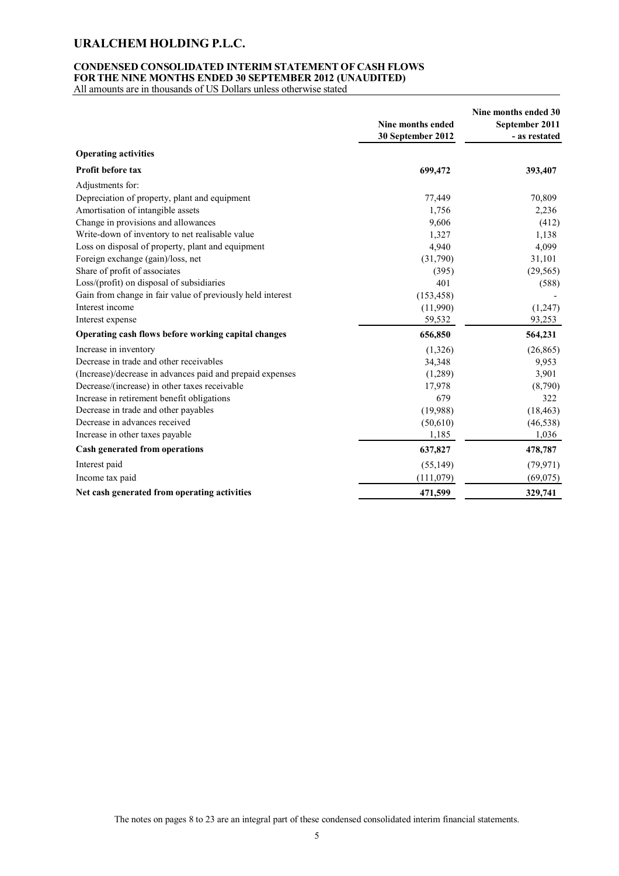### **CONDENSED CONSOLIDATED INTERIM STATEMENT OF CASH FLOWS FOR THE NINE MONTHS ENDED 30 SEPTEMBER 2012 (UNAUDITED)**

All amounts are in thousands of US Dollars unless otherwise stated

|                                                            | Nine months ended 30 |                |  |
|------------------------------------------------------------|----------------------|----------------|--|
|                                                            | Nine months ended    | September 2011 |  |
|                                                            | 30 September 2012    | - as restated  |  |
| <b>Operating activities</b>                                |                      |                |  |
| <b>Profit before tax</b>                                   | 699,472              | 393,407        |  |
| Adjustments for:                                           |                      |                |  |
| Depreciation of property, plant and equipment              | 77,449               | 70,809         |  |
| Amortisation of intangible assets                          | 1,756                | 2,236          |  |
| Change in provisions and allowances                        | 9,606                | (412)          |  |
| Write-down of inventory to net realisable value            | 1,327                | 1,138          |  |
| Loss on disposal of property, plant and equipment          | 4,940                | 4,099          |  |
| Foreign exchange (gain)/loss, net                          | (31,790)             | 31,101         |  |
| Share of profit of associates                              | (395)                | (29, 565)      |  |
| Loss/(profit) on disposal of subsidiaries                  | 401                  | (588)          |  |
| Gain from change in fair value of previously held interest | (153, 458)           |                |  |
| Interest income                                            | (11,990)             | (1,247)        |  |
| Interest expense                                           | 59,532               | 93,253         |  |
| Operating cash flows before working capital changes        | 656,850              | 564,231        |  |
| Increase in inventory                                      | (1,326)              | (26, 865)      |  |
| Decrease in trade and other receivables                    | 34,348               | 9,953          |  |
| (Increase)/decrease in advances paid and prepaid expenses  | (1,289)              | 3,901          |  |
| Decrease/(increase) in other taxes receivable              | 17,978               | (8,790)        |  |
| Increase in retirement benefit obligations                 | 679                  | 322            |  |
| Decrease in trade and other payables                       | (19,988)             | (18, 463)      |  |
| Decrease in advances received                              | (50,610)             | (46, 538)      |  |
| Increase in other taxes payable                            | 1,185                | 1,036          |  |
| Cash generated from operations                             | 637,827              | 478,787        |  |
| Interest paid                                              | (55, 149)            | (79, 971)      |  |
| Income tax paid                                            | (111, 079)           | (69,075)       |  |
| Net cash generated from operating activities               | 471,599              | 329,741        |  |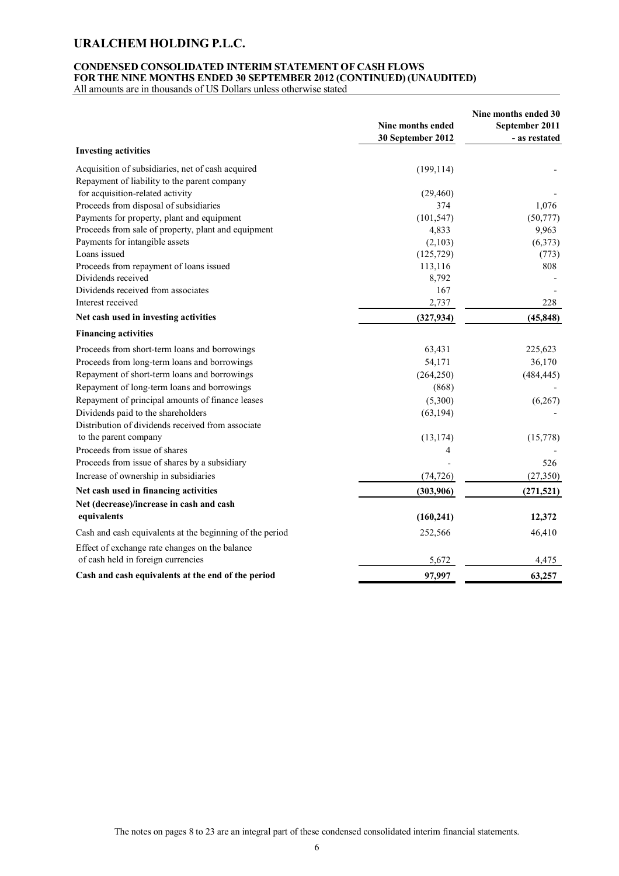### **CONDENSED CONSOLIDATED INTERIM STATEMENT OF CASH FLOWS FOR THE NINE MONTHS ENDED 30 SEPTEMBER 2012 (CONTINUED) (UNAUDITED)**

All amounts are in thousands of US Dollars unless otherwise stated

|                                                                                                   | <b>Nine months ended</b><br>30 September 2012 | Nine months ended 30<br>September 2011<br>- as restated |
|---------------------------------------------------------------------------------------------------|-----------------------------------------------|---------------------------------------------------------|
| <b>Investing activities</b>                                                                       |                                               |                                                         |
| Acquisition of subsidiaries, net of cash acquired<br>Repayment of liability to the parent company | (199, 114)                                    |                                                         |
| for acquisition-related activity                                                                  | (29, 460)                                     |                                                         |
| Proceeds from disposal of subsidiaries                                                            | 374                                           | 1,076                                                   |
| Payments for property, plant and equipment                                                        | (101, 547)                                    | (50, 777)                                               |
| Proceeds from sale of property, plant and equipment                                               | 4,833                                         | 9,963                                                   |
| Payments for intangible assets                                                                    | (2,103)                                       | (6,373)                                                 |
| Loans issued                                                                                      | (125, 729)                                    | (773)                                                   |
| Proceeds from repayment of loans issued                                                           | 113,116                                       | 808                                                     |
| Dividends received                                                                                | 8,792                                         |                                                         |
| Dividends received from associates                                                                | 167                                           |                                                         |
| Interest received                                                                                 | 2,737                                         | 228                                                     |
| Net cash used in investing activities                                                             | (327, 934)                                    | (45, 848)                                               |
| <b>Financing activities</b>                                                                       |                                               |                                                         |
| Proceeds from short-term loans and borrowings                                                     | 63,431                                        | 225,623                                                 |
| Proceeds from long-term loans and borrowings                                                      | 54,171                                        | 36,170                                                  |
| Repayment of short-term loans and borrowings                                                      | (264, 250)                                    | (484, 445)                                              |
| Repayment of long-term loans and borrowings                                                       | (868)                                         |                                                         |
| Repayment of principal amounts of finance leases                                                  | (5,300)                                       | (6,267)                                                 |
| Dividends paid to the shareholders                                                                | (63, 194)                                     |                                                         |
| Distribution of dividends received from associate                                                 |                                               |                                                         |
| to the parent company                                                                             | (13, 174)                                     | (15,778)                                                |
| Proceeds from issue of shares                                                                     | 4                                             |                                                         |
| Proceeds from issue of shares by a subsidiary                                                     |                                               | 526                                                     |
| Increase of ownership in subsidiaries                                                             | (74, 726)                                     | (27, 350)                                               |
| Net cash used in financing activities                                                             | (303,906)                                     | (271, 521)                                              |
| Net (decrease)/increase in cash and cash                                                          |                                               |                                                         |
| equivalents                                                                                       | (160, 241)                                    | 12,372                                                  |
| Cash and cash equivalents at the beginning of the period                                          | 252,566                                       | 46,410                                                  |
| Effect of exchange rate changes on the balance                                                    |                                               |                                                         |
| of cash held in foreign currencies                                                                | 5,672                                         | 4,475                                                   |
| Cash and cash equivalents at the end of the period                                                | 97,997                                        | 63,257                                                  |

The notes on pages 8 to 23 are an integral part of these condensed consolidated interim financial statements.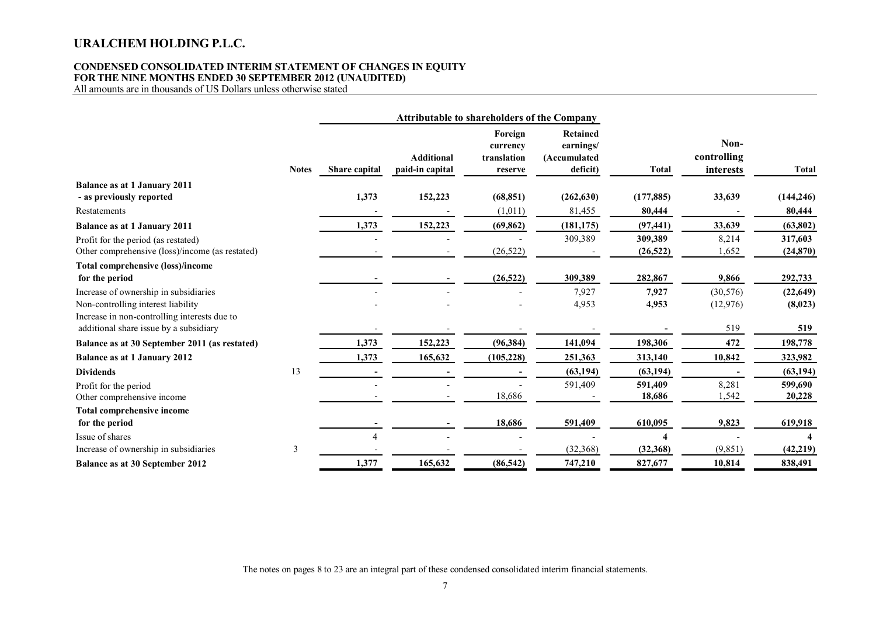#### **CONDENSED CONSOLIDATED INTERIM STATEMENT OF CHANGES IN EQUITY FOR THE NINE MONTHS ENDED 30 SEPTEMBER 2012 (UNAUDITED)**

All amounts are in thousands of US Dollars unless otherwise stated

|                                                                                                                             |              |                | <b>Attributable to shareholders of the Company</b> |                                               |                                                   |                      |                                  |                      |
|-----------------------------------------------------------------------------------------------------------------------------|--------------|----------------|----------------------------------------------------|-----------------------------------------------|---------------------------------------------------|----------------------|----------------------------------|----------------------|
|                                                                                                                             | <b>Notes</b> | Share capital  | <b>Additional</b><br>paid-in capital               | Foreign<br>currency<br>translation<br>reserve | Retained<br>earnings/<br>(Accumulated<br>deficit) | <b>Total</b>         | Non-<br>controlling<br>interests | <b>Total</b>         |
| <b>Balance as at 1 January 2011</b>                                                                                         |              |                |                                                    |                                               |                                                   |                      |                                  |                      |
| - as previously reported                                                                                                    |              | 1,373          | 152,223                                            | (68, 851)                                     | (262, 630)                                        | (177, 885)           | 33,639                           | (144, 246)           |
| Restatements                                                                                                                |              |                |                                                    | (1,011)                                       | 81,455                                            | 80,444               |                                  | 80,444               |
| <b>Balance as at 1 January 2011</b>                                                                                         |              | 1,373          | 152,223                                            | (69, 862)                                     | (181, 175)                                        | (97, 441)            | 33,639                           | (63, 802)            |
| Profit for the period (as restated)<br>Other comprehensive (loss)/income (as restated)                                      |              |                |                                                    | (26, 522)                                     | 309,389                                           | 309,389<br>(26, 522) | 8,214<br>1,652                   | 317,603<br>(24, 870) |
| <b>Total comprehensive (loss)/income</b><br>for the period                                                                  |              |                |                                                    | (26, 522)                                     | 309,389                                           | 282,867              | 9,866                            | 292,733              |
| Increase of ownership in subsidiaries<br>Non-controlling interest liability<br>Increase in non-controlling interests due to |              |                |                                                    |                                               | 7,927<br>4,953                                    | 7,927<br>4,953       | (30, 576)<br>(12,976)            | (22, 649)<br>(8,023) |
| additional share issue by a subsidiary                                                                                      |              |                |                                                    |                                               |                                                   |                      | 519                              | 519                  |
| Balance as at 30 September 2011 (as restated)                                                                               |              | 1,373          | 152,223                                            | (96, 384)                                     | 141,094                                           | 198,306              | 472                              | 198,778              |
| <b>Balance as at 1 January 2012</b>                                                                                         |              | 1,373          | 165,632                                            | (105, 228)                                    | 251,363                                           | 313,140              | 10,842                           | 323,982              |
| <b>Dividends</b>                                                                                                            | 13           |                |                                                    |                                               | (63, 194)                                         | (63, 194)            |                                  | (63, 194)            |
| Profit for the period<br>Other comprehensive income                                                                         |              |                |                                                    | 18,686                                        | 591,409                                           | 591,409<br>18,686    | 8,281<br>1,542                   | 599,690<br>20,228    |
| <b>Total comprehensive income</b>                                                                                           |              |                |                                                    |                                               |                                                   |                      |                                  |                      |
| for the period                                                                                                              |              |                |                                                    | 18,686                                        | 591,409                                           | 610,095              | 9,823                            | 619,918              |
| Issue of shares                                                                                                             |              | $\overline{4}$ |                                                    |                                               |                                                   |                      |                                  |                      |
| Increase of ownership in subsidiaries                                                                                       | 3            |                |                                                    |                                               | (32, 368)                                         | (32, 368)            | (9, 851)                         | (42, 219)            |
| <b>Balance as at 30 September 2012</b>                                                                                      |              | 1,377          | 165,632                                            | (86, 542)                                     | 747,210                                           | 827,677              | 10,814                           | 838,491              |

The notes on pages 8 to 23 are an integral part of these condensed consolidated interim financial statements.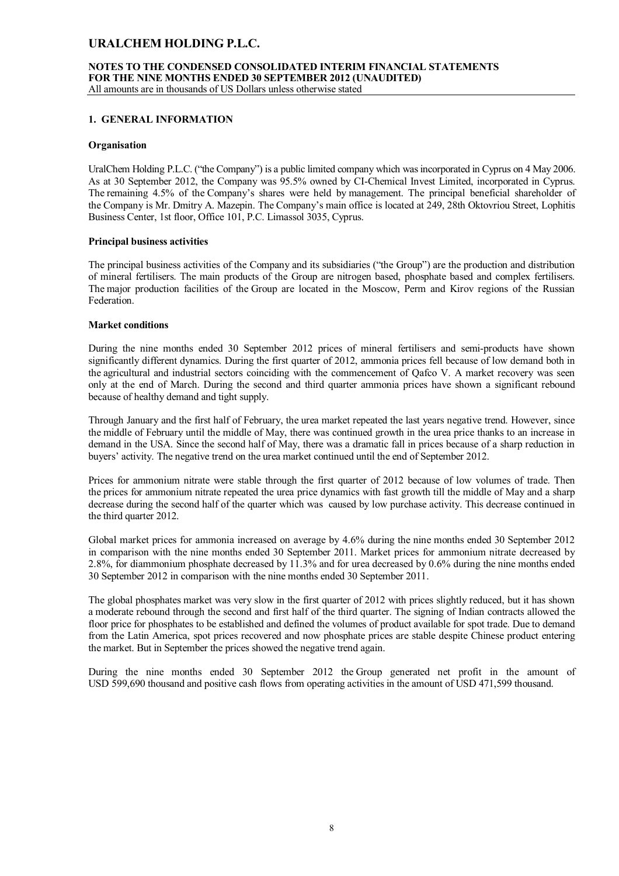# **NOTES TO THE CONDENSED CONSOLIDATED INTERIM FINANCIAL STATEMENTS FOR THE NINE MONTHS ENDED 30 SEPTEMBER 2012 (UNAUDITED)**

All amounts are in thousands of US Dollars unless otherwise stated

### **1. GENERAL INFORMATION**

#### **Organisation**

UralChem Holding P.L.C. ("the Company") is a public limited company which was incorporated in Cyprus on 4 May 2006. As at 30 September 2012, the Company was 95.5% owned by CI-Chemical Invest Limited, incorporated in Cyprus. The remaining 4.5% of the Company's shares were held by management. The principal beneficial shareholder of the Company is Mr. Dmitry A. Mazepin. The Company's main office is located at 249, 28th Oktovriou Street, Lophitis Business Center, 1st floor, Office 101, P.C. Limassol 3035, Cyprus.

#### **Principal business activities**

The principal business activities of the Company and its subsidiaries ("the Group") are the production and distribution of mineral fertilisers. The main products of the Group are nitrogen based, phosphate based and complex fertilisers. The major production facilities of the Group are located in the Moscow, Perm and Kirov regions of the Russian Federation.

#### **Market conditions**

During the nine months ended 30 September 2012 prices of mineral fertilisers and semi-products have shown significantly different dynamics. During the first quarter of 2012, ammonia prices fell because of low demand both in the agricultural and industrial sectors coinciding with the commencement of Qafco V. A market recovery was seen only at the end of March. During the second and third quarter ammonia prices have shown a significant rebound because of healthy demand and tight supply.

Through January and the first half of February, the urea market repeated the last years negative trend. However, since the middle of February until the middle of May, there was continued growth in the urea price thanks to an increase in demand in the USA. Since the second half of May, there was a dramatic fall in prices because of a sharp reduction in buyers' activity. The negative trend on the urea market continued until the end of September 2012.

Prices for ammonium nitrate were stable through the first quarter of 2012 because of low volumes of trade. Then the prices for ammonium nitrate repeated the urea price dynamics with fast growth till the middle of May and a sharp decrease during the second half of the quarter which was caused by low purchase activity. This decrease continued in the third quarter 2012.

Global market prices for ammonia increased on average by 4.6% during the nine months ended 30 September 2012 in comparison with the nine months ended 30 September 2011. Market prices for ammonium nitrate decreased by 2.8%, for diammonium phosphate decreased by 11.3% and for urea decreased by 0.6% during the nine months ended 30 September 2012 in comparison with the nine months ended 30 September 2011.

The global phosphates market was very slow in the first quarter of 2012 with prices slightly reduced, but it has shown a moderate rebound through the second and first half of the third quarter. The signing of Indian contracts allowed the floor price for phosphates to be established and defined the volumes of product available for spot trade. Due to demand from the Latin America, spot prices recovered and now phosphate prices are stable despite Chinese product entering the market. But in September the prices showed the negative trend again.

During the nine months ended 30 September 2012 the Group generated net profit in the amount of USD 599,690 thousand and positive cash flows from operating activities in the amount of USD 471,599 thousand.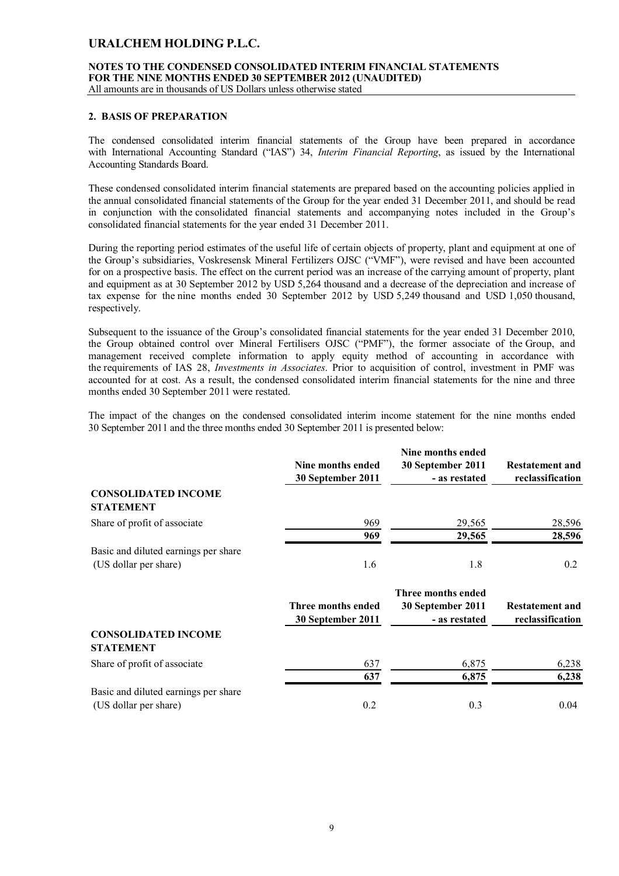### **NOTES TO THE CONDENSED CONSOLIDATED INTERIM FINANCIAL STATEMENTS FOR THE NINE MONTHS ENDED 30 SEPTEMBER 2012 (UNAUDITED)**

All amounts are in thousands of US Dollars unless otherwise stated

#### **2. BASIS OF PREPARATION**

The condensed consolidated interim financial statements of the Group have been prepared in accordance with International Accounting Standard ("IAS") 34, *Interim Financial Reporting*, as issued by the International Accounting Standards Board.

These condensed consolidated interim financial statements are prepared based on the accounting policies applied in the annual consolidated financial statements of the Group for the year ended 31 December 2011, and should be read in conjunction with the consolidated financial statements and accompanying notes included in the Group's consolidated financial statements for the year ended 31 December 2011.

During the reporting period estimates of the useful life of certain objects of property, plant and equipment at one of the Group's subsidiaries, Voskresensk Mineral Fertilizers OJSC ("VMF"), were revised and have been accounted for on a prospective basis. The effect on the current period was an increase of the carrying amount of property, plant and equipment as at 30 September 2012 by USD 5,264 thousand and a decrease of the depreciation and increase of tax expense for the nine months ended 30 September 2012 by USD 5,249 thousand and USD 1,050 thousand, respectively.

Subsequent to the issuance of the Group's consolidated financial statements for the year ended 31 December 2010, the Group obtained control over Mineral Fertilisers OJSC ("PMF"), the former associate of the Group, and management received complete information to apply equity method of accounting in accordance with the requirements of IAS 28, *Investments in Associates*. Prior to acquisition of control, investment in PMF was accounted for at cost. As a result, the condensed consolidated interim financial statements for the nine and three months ended 30 September 2011 were restated.

The impact of the changes on the condensed consolidated interim income statement for the nine months ended 30 September 2011 and the three months ended 30 September 2011 is presented below:

|                                      | Nine months ended  | Nine months ended<br>30 September 2011 | <b>Restatement and</b> |
|--------------------------------------|--------------------|----------------------------------------|------------------------|
|                                      | 30 September 2011  | - as restated                          | reclassification       |
| <b>CONSOLIDATED INCOME</b>           |                    |                                        |                        |
| <b>STATEMENT</b>                     |                    |                                        |                        |
| Share of profit of associate         | 969                | 29,565                                 | 28,596                 |
|                                      | 969                | 29,565                                 | 28,596                 |
| Basic and diluted earnings per share |                    |                                        |                        |
| (US dollar per share)                | 1.6                | 1.8                                    | 0.2                    |
|                                      |                    | Three months ended                     |                        |
|                                      | Three months ended | 30 September 2011                      | <b>Restatement and</b> |
|                                      | 30 September 2011  | - as restated                          | reclassification       |
| <b>CONSOLIDATED INCOME</b>           |                    |                                        |                        |
| <b>STATEMENT</b>                     |                    |                                        |                        |
| Share of profit of associate         | 637                | 6,875                                  | 6,238                  |
|                                      | 637                | 6,875                                  | 6,238                  |
| Basic and diluted earnings per share |                    |                                        |                        |
| (US dollar per share)                | 0.2                | 0.3                                    | 0.04                   |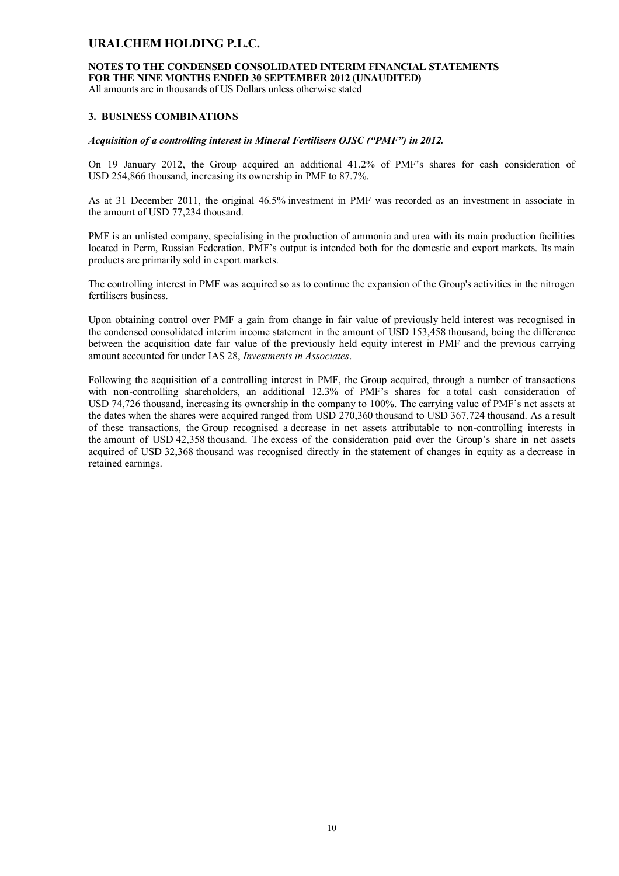# **NOTES TO THE CONDENSED CONSOLIDATED INTERIM FINANCIAL STATEMENTS FOR THE NINE MONTHS ENDED 30 SEPTEMBER 2012 (UNAUDITED)**

All amounts are in thousands of US Dollars unless otherwise stated

### **3. BUSINESS COMBINATIONS**

#### *Acquisition of a controlling interest in Mineral Fertilisers OJSC ("PMF") in 2012.*

On 19 January 2012, the Group acquired an additional 41.2% of PMF's shares for cash consideration of USD 254,866 thousand, increasing its ownership in PMF to 87.7%.

As at 31 December 2011, the original 46.5% investment in PMF was recorded as an investment in associate in the amount of USD 77,234 thousand.

PMF is an unlisted company, specialising in the production of ammonia and urea with its main production facilities located in Perm, Russian Federation. PMF's output is intended both for the domestic and export markets. Its main products are primarily sold in export markets.

The controlling interest in PMF was acquired so as to continue the expansion of the Group's activities in the nitrogen fertilisers business.

Upon obtaining control over PMF a gain from change in fair value of previously held interest was recognised in the condensed consolidated interim income statement in the amount of USD 153,458 thousand, being the difference between the acquisition date fair value of the previously held equity interest in PMF and the previous carrying amount accounted for under IAS 28, *Investments in Associates*.

Following the acquisition of a controlling interest in PMF, the Group acquired, through a number of transactions with non-controlling shareholders, an additional 12.3% of PMF's shares for a total cash consideration of USD 74,726 thousand, increasing its ownership in the company to 100%. The carrying value of PMF's net assets at the dates when the shares were acquired ranged from USD 270,360 thousand to USD 367,724 thousand. As a result of these transactions, the Group recognised a decrease in net assets attributable to non-controlling interests in the amount of USD 42,358 thousand. The excess of the consideration paid over the Group's share in net assets acquired of USD 32,368 thousand was recognised directly in the statement of changes in equity as a decrease in retained earnings.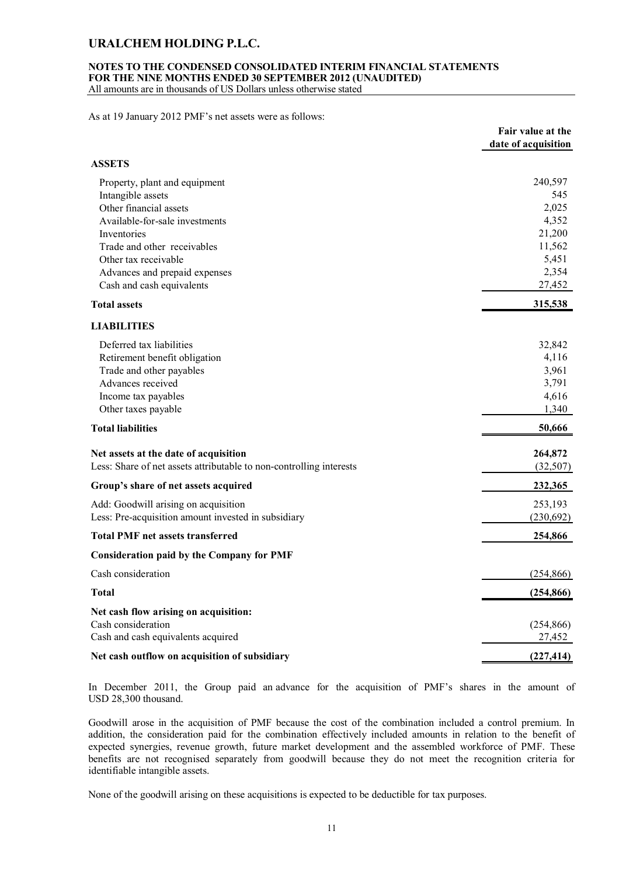#### **NOTES TO THE CONDENSED CONSOLIDATED INTERIM FINANCIAL STATEMENTS FOR THE NINE MONTHS ENDED 30 SEPTEMBER 2012 (UNAUDITED)**

All amounts are in thousands of US Dollars unless otherwise stated

As at 19 January 2012 PMF's net assets were as follows:

|                                                                     | Fair value at the<br>date of acquisition |
|---------------------------------------------------------------------|------------------------------------------|
| <b>ASSETS</b>                                                       |                                          |
| Property, plant and equipment                                       | 240,597                                  |
| Intangible assets                                                   | 545                                      |
| Other financial assets                                              | 2,025                                    |
| Available-for-sale investments                                      | 4,352                                    |
| Inventories                                                         | 21,200                                   |
| Trade and other receivables                                         | 11,562                                   |
| Other tax receivable                                                | 5,451                                    |
| Advances and prepaid expenses<br>Cash and cash equivalents          | 2,354<br>27,452                          |
| <b>Total assets</b>                                                 | 315,538                                  |
|                                                                     |                                          |
| <b>LIABILITIES</b>                                                  |                                          |
| Deferred tax liabilities                                            | 32,842                                   |
| Retirement benefit obligation                                       | 4,116                                    |
| Trade and other payables                                            | 3,961                                    |
| Advances received                                                   | 3,791                                    |
| Income tax payables                                                 | 4,616                                    |
| Other taxes payable                                                 | 1,340                                    |
| <b>Total liabilities</b>                                            | 50,666                                   |
| Net assets at the date of acquisition                               | 264,872                                  |
| Less: Share of net assets attributable to non-controlling interests | (32,507)                                 |
| Group's share of net assets acquired                                | 232,365                                  |
| Add: Goodwill arising on acquisition                                | 253,193                                  |
| Less: Pre-acquisition amount invested in subsidiary                 | (230,692)                                |
| <b>Total PMF net assets transferred</b>                             | 254,866                                  |
| Consideration paid by the Company for PMF                           |                                          |
| Cash consideration                                                  | (254, 866)                               |
| <b>Total</b>                                                        | (254, 866)                               |
| Net cash flow arising on acquisition:                               |                                          |
| Cash consideration                                                  | (254, 866)                               |
| Cash and cash equivalents acquired                                  | 27,452                                   |
| Net cash outflow on acquisition of subsidiary                       | (227, 414)                               |

In December 2011, the Group paid an advance for the acquisition of PMF's shares in the amount of USD 28,300 thousand.

Goodwill arose in the acquisition of PMF because the cost of the combination included a control premium. In addition, the consideration paid for the combination effectively included amounts in relation to the benefit of expected synergies, revenue growth, future market development and the assembled workforce of PMF. These benefits are not recognised separately from goodwill because they do not meet the recognition criteria for identifiable intangible assets.

None of the goodwill arising on these acquisitions is expected to be deductible for tax purposes.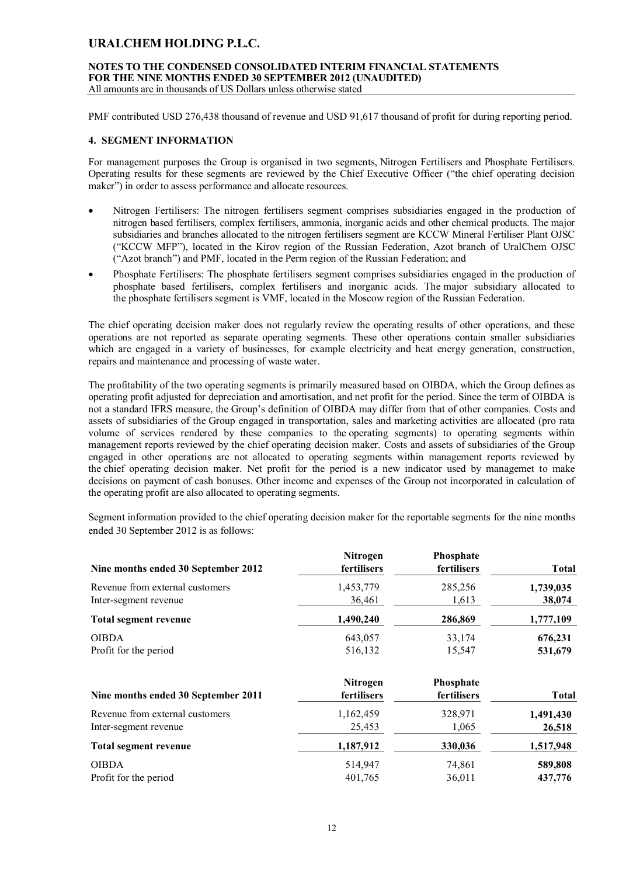#### **NOTES TO THE CONDENSED CONSOLIDATED INTERIM FINANCIAL STATEMENTS FOR THE NINE MONTHS ENDED 30 SEPTEMBER 2012 (UNAUDITED)** All amounts are in thousands of US Dollars unless otherwise stated

PMF contributed USD 276,438 thousand of revenue and USD 91,617 thousand of profit for during reporting period.

### **4. SEGMENT INFORMATION**

For management purposes the Group is organised in two segments, Nitrogen Fertilisers and Phosphate Fertilisers. Operating results for these segments are reviewed by the Chief Executive Officer ("the chief operating decision maker") in order to assess performance and allocate resources.

- Nitrogen Fertilisers: The nitrogen fertilisers segment comprises subsidiaries engaged in the production of nitrogen based fertilisers, complex fertilisers, ammonia, inorganic acids and other chemical products. The major subsidiaries and branches allocated to the nitrogen fertilisers segment are KCCW Mineral Fertiliser Plant OJSC ("KCCW MFP"), located in the Kirov region of the Russian Federation, Azot branch of UralChem OJSC ("Azot branch") and PMF, located in the Perm region of the Russian Federation; and
- Phosphate Fertilisers: The phosphate fertilisers segment comprises subsidiaries engaged in the production of phosphate based fertilisers, complex fertilisers and inorganic acids. The major subsidiary allocated to the phosphate fertilisers segment is VMF, located in the Moscow region of the Russian Federation.

The chief operating decision maker does not regularly review the operating results of other operations, and these operations are not reported as separate operating segments. These other operations contain smaller subsidiaries which are engaged in a variety of businesses, for example electricity and heat energy generation, construction, repairs and maintenance and processing of waste water.

The profitability of the two operating segments is primarily measured based on OIBDA, which the Group defines as operating profit adjusted for depreciation and amortisation, and net profit for the period. Since the term of OIBDA is not a standard IFRS measure, the Group's definition of OIBDA may differ from that of other companies. Costs and assets of subsidiaries of the Group engaged in transportation, sales and marketing activities are allocated (pro rata volume of services rendered by these companies to the operating segments) to operating segments within management reports reviewed by the chief operating decision maker. Costs and assets of subsidiaries of the Group engaged in other operations are not allocated to operating segments within management reports reviewed by the chief operating decision maker. Net profit for the period is a new indicator used by managemet to make decisions on payment of cash bonuses. Other income and expenses of the Group not incorporated in calculation of the operating profit are also allocated to operating segments.

Segment information provided to the chief operating decision maker for the reportable segments for the nine months ended 30 September 2012 is as follows:

| Nine months ended 30 September 2012 | <b>Nitrogen</b><br>fertilisers | Phosphate<br>fertilisers | <b>Total</b> |
|-------------------------------------|--------------------------------|--------------------------|--------------|
| Revenue from external customers     | 1,453,779                      | 285,256                  | 1,739,035    |
| Inter-segment revenue               | 36,461                         | 1,613                    | 38,074       |
| <b>Total segment revenue</b>        | 1,490,240                      | 286,869                  | 1,777,109    |
| <b>OIBDA</b>                        | 643,057                        | 33,174                   | 676,231      |
| Profit for the period               | 516,132                        | 15,547                   | 531,679      |
| Nine months ended 30 September 2011 | <b>Nitrogen</b><br>fertilisers | Phosphate<br>fertilisers | <b>Total</b> |
| Revenue from external customers     | 1,162,459                      | 328,971                  | 1,491,430    |
| Inter-segment revenue               | 25,453                         | 1,065                    | 26,518       |
| <b>Total segment revenue</b>        | 1,187,912                      | 330,036                  | 1,517,948    |
| <b>OIBDA</b>                        | 514,947                        | 74,861                   | 589,808      |
| Profit for the period               | 401,765                        | 36,011                   | 437,776      |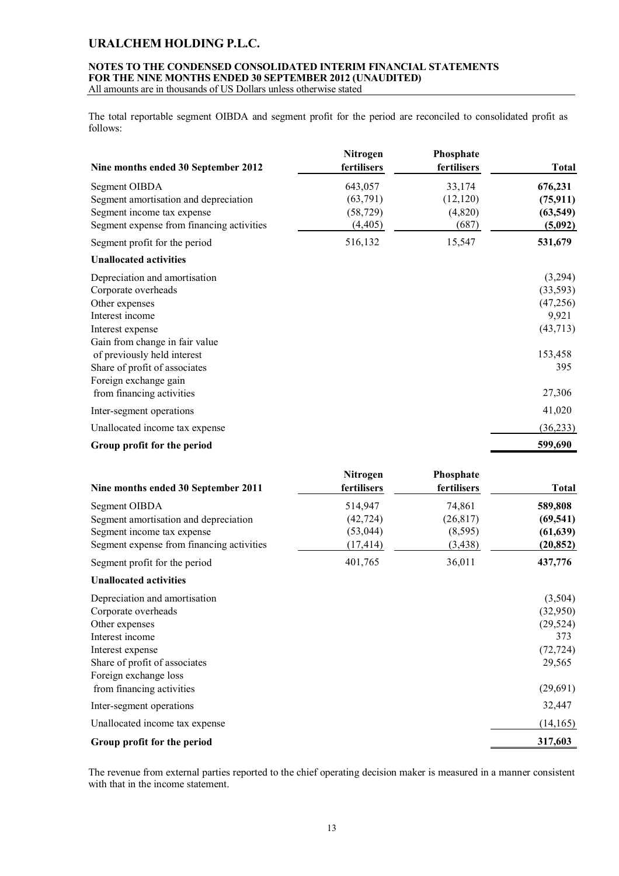### **NOTES TO THE CONDENSED CONSOLIDATED INTERIM FINANCIAL STATEMENTS FOR THE NINE MONTHS ENDED 30 SEPTEMBER 2012 (UNAUDITED)**

All amounts are in thousands of US Dollars unless otherwise stated

The total reportable segment OIBDA and segment profit for the period are reconciled to consolidated profit as follows:

| Nine months ended 30 September 2012       | Nitrogen<br>fertilisers | Phosphate<br>fertilisers | <b>Total</b> |
|-------------------------------------------|-------------------------|--------------------------|--------------|
| Segment OIBDA                             | 643,057                 | 33,174                   | 676,231      |
| Segment amortisation and depreciation     | (63,791)                | (12, 120)                | (75, 911)    |
| Segment income tax expense                | (58, 729)               | (4,820)                  | (63, 549)    |
| Segment expense from financing activities | (4, 405)                | (687)                    | (5,092)      |
| Segment profit for the period             | 516,132                 | 15,547                   | 531,679      |
| <b>Unallocated activities</b>             |                         |                          |              |
| Depreciation and amortisation             |                         |                          | (3,294)      |
| Corporate overheads                       |                         |                          | (33, 593)    |
| Other expenses                            |                         |                          | (47, 256)    |
| Interest income                           |                         |                          | 9,921        |
| Interest expense                          |                         |                          | (43,713)     |
| Gain from change in fair value            |                         |                          |              |
| of previously held interest               |                         |                          | 153,458      |
| Share of profit of associates             |                         |                          | 395          |
| Foreign exchange gain                     |                         |                          |              |
| from financing activities                 |                         |                          | 27,306       |
| Inter-segment operations                  |                         |                          | 41,020       |
| Unallocated income tax expense            |                         |                          | (36, 233)    |
| Group profit for the period               |                         |                          | 599,690      |

| Nine months ended 30 September 2011       | Nitrogen<br>fertilisers | <b>Phosphate</b><br>fertilisers | <b>Total</b> |
|-------------------------------------------|-------------------------|---------------------------------|--------------|
| Segment OIBDA                             | 514,947                 | 74,861                          | 589,808      |
| Segment amortisation and depreciation     | (42, 724)               | (26, 817)                       | (69, 541)    |
| Segment income tax expense                | (53, 044)               | (8, 595)                        | (61, 639)    |
| Segment expense from financing activities | (17, 414)               | (3, 438)                        | (20, 852)    |
| Segment profit for the period             | 401,765                 | 36,011                          | 437,776      |
| <b>Unallocated activities</b>             |                         |                                 |              |
| Depreciation and amortisation             |                         |                                 | (3,504)      |
| Corporate overheads                       |                         |                                 | (32,950)     |
| Other expenses                            |                         |                                 | (29, 524)    |
| Interest income                           |                         |                                 | 373          |
| Interest expense                          |                         |                                 | (72, 724)    |
| Share of profit of associates             |                         |                                 | 29,565       |
| Foreign exchange loss                     |                         |                                 |              |
| from financing activities                 |                         |                                 | (29,691)     |
| Inter-segment operations                  |                         |                                 | 32,447       |
| Unallocated income tax expense            |                         |                                 | (14,165)     |

The revenue from external parties reported to the chief operating decision maker is measured in a manner consistent with that in the income statement.

**Group profit for the period 317,603**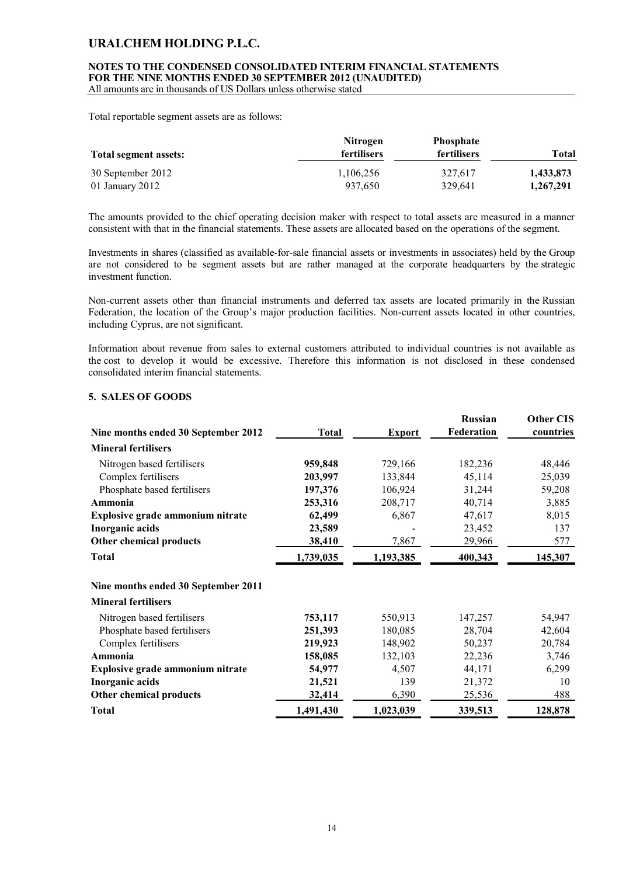### **NOTES TO THE CONDENSED CONSOLIDATED INTERIM FINANCIAL STATEMENTS FOR THE NINE MONTHS ENDED 30 SEPTEMBER 2012 (UNAUDITED)**

All amounts are in thousands of US Dollars unless otherwise stated

Total reportable segment assets are as follows:

| Total segment assets: | <b>Nitrogen</b><br><b>fertilisers</b> | <b>Phosphate</b><br>fertilisers | Total     |
|-----------------------|---------------------------------------|---------------------------------|-----------|
| 30 September 2012     | 1,106,256                             | 327,617                         | 1,433,873 |
| 01 January 2012       | 937.650                               | 329.641                         | 1,267,291 |

The amounts provided to the chief operating decision maker with respect to total assets are measured in a manner consistent with that in the financial statements. These assets are allocated based on the operations of the segment.

Investments in shares (classified as available-for-sale financial assets or investments in associates) held by the Group are not considered to be segment assets but are rather managed at the corporate headquarters by the strategic investment function.

Non-current assets other than financial instruments and deferred tax assets are located primarily in the Russian Federation, the location of the Group's major production facilities. Non-current assets located in other countries, including Cyprus, are not significant.

Information about revenue from sales to external customers attributed to individual countries is not available as the cost to develop it would be excessive. Therefore this information is not disclosed in these condensed consolidated interim financial statements.

### **5. SALES OF GOODS**

| Nine months ended 30 September 2012 | <b>Total</b> | <b>Export</b> | <b>Russian</b><br>Federation | <b>Other CIS</b><br>countries |
|-------------------------------------|--------------|---------------|------------------------------|-------------------------------|
| <b>Mineral fertilisers</b>          |              |               |                              |                               |
| Nitrogen based fertilisers          | 959,848      | 729,166       | 182,236                      | 48,446                        |
| Complex fertilisers                 | 203,997      | 133,844       | 45,114                       | 25,039                        |
| Phosphate based fertilisers         | 197,376      | 106,924       | 31,244                       | 59,208                        |
| Ammonia                             | 253,316      | 208,717       | 40,714                       | 3,885                         |
| Explosive grade ammonium nitrate    | 62,499       | 6,867         | 47,617                       | 8,015                         |
| Inorganic acids                     | 23,589       |               | 23,452                       | 137                           |
| Other chemical products             | 38,410       | 7,867         | 29,966                       | 577                           |
| <b>Total</b>                        | 1,739,035    | 1,193,385     | 400,343                      | 145,307                       |
| Nine months ended 30 September 2011 |              |               |                              |                               |
| <b>Mineral fertilisers</b>          |              |               |                              |                               |
| Nitrogen based fertilisers          | 753,117      | 550,913       | 147,257                      | 54,947                        |
| Phosphate based fertilisers         | 251,393      | 180,085       | 28,704                       | 42,604                        |
| Complex fertilisers                 | 219,923      | 148,902       | 50,237                       | 20,784                        |
| Ammonia                             | 158,085      | 132,103       | 22,236                       | 3,746                         |
| Explosive grade ammonium nitrate    | 54,977       | 4,507         | 44,171                       | 6,299                         |
| Inorganic acids                     | 21,521       | 139           | 21,372                       | 10                            |
| Other chemical products             | 32,414       | 6,390         | 25,536                       | 488                           |
| <b>Total</b>                        | 1,491,430    | 1,023,039     | 339,513                      | 128,878                       |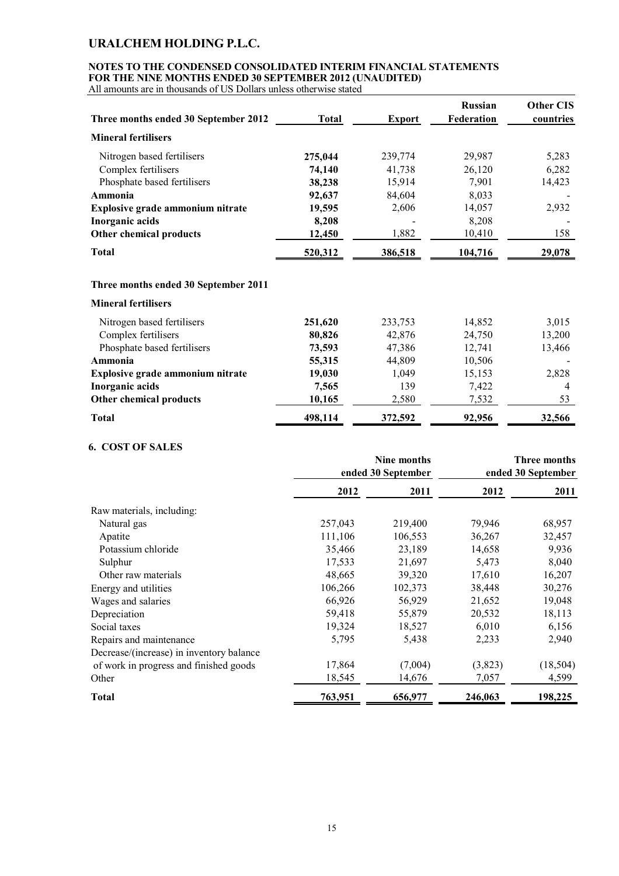### **NOTES TO THE CONDENSED CONSOLIDATED INTERIM FINANCIAL STATEMENTS FOR THE NINE MONTHS ENDED 30 SEPTEMBER 2012 (UNAUDITED)**

All amounts are in thousands of US Dollars unless otherwise stated

| Three months ended 30 September 2012 | <b>Total</b> | <b>Export</b> | <b>Russian</b><br>Federation | <b>Other CIS</b><br>countries |
|--------------------------------------|--------------|---------------|------------------------------|-------------------------------|
| <b>Mineral fertilisers</b>           |              |               |                              |                               |
| Nitrogen based fertilisers           | 275,044      | 239,774       | 29,987                       | 5,283                         |
| Complex fertilisers                  | 74,140       | 41,738        | 26,120                       | 6,282                         |
| Phosphate based fertilisers          | 38,238       | 15,914        | 7,901                        | 14,423                        |
| Ammonia                              | 92,637       | 84,604        | 8,033                        |                               |
| Explosive grade ammonium nitrate     | 19,595       | 2,606         | 14,057                       | 2,932                         |
| Inorganic acids                      | 8,208        |               | 8,208                        |                               |
| Other chemical products              | 12,450       | 1,882         | 10,410                       | 158                           |
| <b>Total</b>                         | 520,312      | 386,518       | 104,716                      | 29,078                        |
| Three months ended 30 September 2011 |              |               |                              |                               |
| <b>Mineral fertilisers</b>           |              |               |                              |                               |
| Nitrogen based fertilisers           | 251,620      | 233,753       | 14,852                       | 3,015                         |
| Complex fertilisers                  | 80,826       | 42,876        | 24,750                       | 13,200                        |
| Phosphate based fertilisers          | 73,593       | 47,386        | 12,741                       | 13,466                        |
| Ammonia                              | 55,315       | 44,809        | 10,506                       |                               |

| Total                            | 498,114 | 372,592 | 92,956      | 32,566 |
|----------------------------------|---------|---------|-------------|--------|
| Other chemical products          | 10.165  | 2.580   | 7.532       |        |
| Inorganic acids                  | 7.565   | 39ء     | 7.422       |        |
| Explosive grade ammonium nitrate | 19.030  | 1.049   | 15,153      | 2,828  |
| .                                | .       | .       | 1 V . J V V |        |

### **6. COST OF SALES**

|                                          | Nine months<br>ended 30 September |         |         | Three months<br>ended 30 September |
|------------------------------------------|-----------------------------------|---------|---------|------------------------------------|
|                                          | 2012                              | 2011    | 2012    | 2011                               |
| Raw materials, including:                |                                   |         |         |                                    |
| Natural gas                              | 257,043                           | 219,400 | 79,946  | 68,957                             |
| Apatite                                  | 111,106                           | 106,553 | 36,267  | 32,457                             |
| Potassium chloride                       | 35,466                            | 23,189  | 14,658  | 9,936                              |
| Sulphur                                  | 17,533                            | 21,697  | 5,473   | 8,040                              |
| Other raw materials                      | 48,665                            | 39,320  | 17,610  | 16,207                             |
| Energy and utilities                     | 106,266                           | 102,373 | 38,448  | 30,276                             |
| Wages and salaries                       | 66,926                            | 56,929  | 21,652  | 19,048                             |
| Depreciation                             | 59,418                            | 55,879  | 20,532  | 18,113                             |
| Social taxes                             | 19,324                            | 18,527  | 6,010   | 6,156                              |
| Repairs and maintenance                  | 5,795                             | 5,438   | 2,233   | 2,940                              |
| Decrease/(increase) in inventory balance |                                   |         |         |                                    |
| of work in progress and finished goods   | 17,864                            | (7,004) | (3,823) | (18, 504)                          |
| Other                                    | 18,545                            | 14,676  | 7,057   | 4,599                              |
| <b>Total</b>                             | 763,951                           | 656,977 | 246,063 | 198,225                            |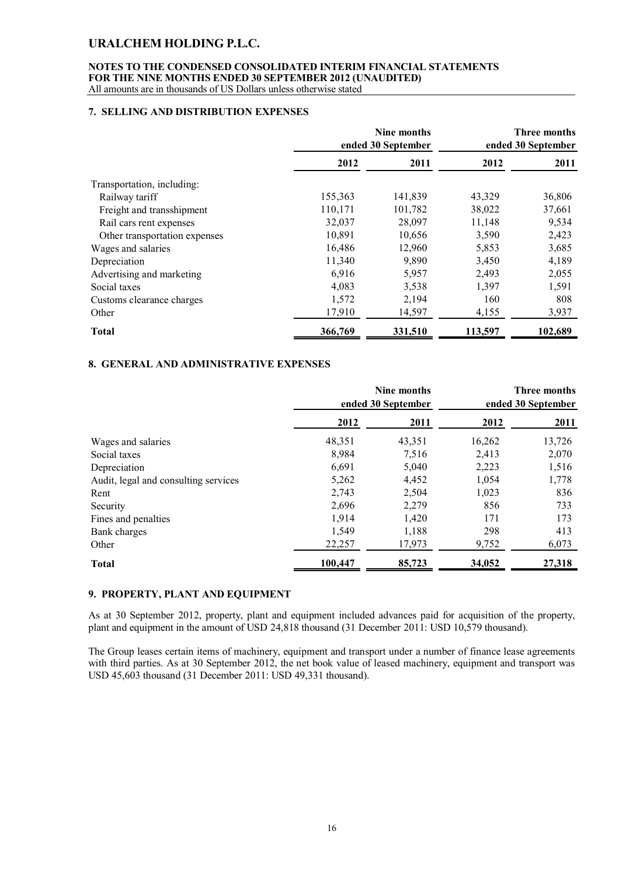# **NOTES TO THE CONDENSED CONSOLIDATED INTERIM FINANCIAL STATEMENTS FOR THE NINE MONTHS ENDED 30 SEPTEMBER 2012 (UNAUDITED)**

All amounts are in thousands of US Dollars unless otherwise stated

### **7. SELLING AND DISTRIBUTION EXPENSES**

|                               | Nine months<br>ended 30 September |         | Three months<br>ended 30 September |         |
|-------------------------------|-----------------------------------|---------|------------------------------------|---------|
|                               | 2012                              | 2011    | 2012                               | 2011    |
| Transportation, including:    |                                   |         |                                    |         |
| Railway tariff                | 155,363                           | 141,839 | 43,329                             | 36,806  |
| Freight and transshipment     | 110,171                           | 101,782 | 38,022                             | 37,661  |
| Rail cars rent expenses       | 32,037                            | 28,097  | 11,148                             | 9,534   |
| Other transportation expenses | 10,891                            | 10,656  | 3,590                              | 2,423   |
| Wages and salaries            | 16,486                            | 12,960  | 5,853                              | 3,685   |
| Depreciation                  | 11,340                            | 9,890   | 3,450                              | 4,189   |
| Advertising and marketing     | 6,916                             | 5,957   | 2,493                              | 2,055   |
| Social taxes                  | 4,083                             | 3,538   | 1,397                              | 1,591   |
| Customs clearance charges     | 1,572                             | 2,194   | 160                                | 808     |
| Other                         | 17,910                            | 14,597  | 4,155                              | 3,937   |
| <b>Total</b>                  | 366,769                           | 331,510 | 113,597                            | 102,689 |

### **8. GENERAL AND ADMINISTRATIVE EXPENSES**

|                                      | Nine months<br>ended 30 September |        | Three months<br>ended 30 September |        |
|--------------------------------------|-----------------------------------|--------|------------------------------------|--------|
|                                      | 2012                              | 2011   | 2012                               | 2011   |
| Wages and salaries                   | 48,351                            | 43,351 | 16,262                             | 13,726 |
| Social taxes                         | 8,984                             | 7,516  | 2,413                              | 2,070  |
| Depreciation                         | 6,691                             | 5,040  | 2,223                              | 1,516  |
| Audit, legal and consulting services | 5,262                             | 4,452  | 1,054                              | 1,778  |
| Rent                                 | 2,743                             | 2,504  | 1,023                              | 836    |
| Security                             | 2,696                             | 2.279  | 856                                | 733    |
| Fines and penalties                  | 1,914                             | 1,420  | 171                                | 173    |
| Bank charges                         | 1,549                             | 1,188  | 298                                | 413    |
| Other                                | 22,257                            | 17,973 | 9,752                              | 6,073  |
| <b>Total</b>                         | 100,447                           | 85,723 | 34,052                             | 27,318 |

### **9. PROPERTY, PLANT AND EQUIPMENT**

As at 30 September 2012, property, plant and equipment included advances paid for acquisition of the property, plant and equipment in the amount of USD 24,818 thousand (31 December 2011: USD 10,579 thousand).

The Group leases certain items of machinery, equipment and transport under a number of finance lease agreements with third parties. As at 30 September 2012, the net book value of leased machinery, equipment and transport was USD 45,603 thousand (31 December 2011: USD 49,331 thousand).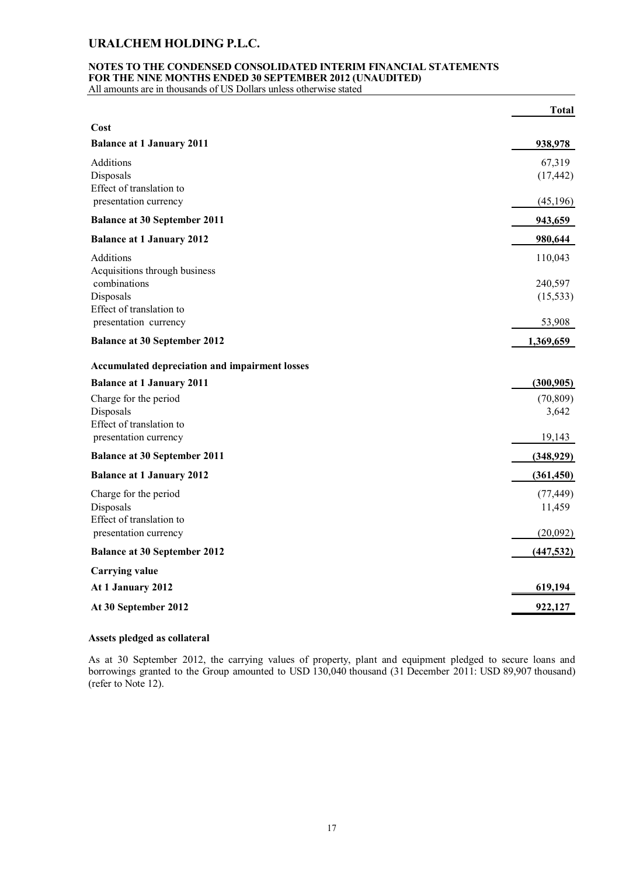### **NOTES TO THE CONDENSED CONSOLIDATED INTERIM FINANCIAL STATEMENTS FOR THE NINE MONTHS ENDED 30 SEPTEMBER 2012 (UNAUDITED)**

All amounts are in thousands of US Dollars unless otherwise stated

|                                                                | <b>Total</b>         |
|----------------------------------------------------------------|----------------------|
| Cost                                                           |                      |
| <b>Balance at 1 January 2011</b>                               | 938,978              |
| Additions<br>Disposals<br>Effect of translation to             | 67,319<br>(17, 442)  |
| presentation currency                                          | (45, 196)            |
| <b>Balance at 30 September 2011</b>                            | 943,659              |
| <b>Balance at 1 January 2012</b>                               | 980,644              |
| Additions<br>Acquisitions through business                     | 110,043              |
| combinations<br>Disposals<br>Effect of translation to          | 240,597<br>(15, 533) |
| presentation currency                                          | 53,908               |
| <b>Balance at 30 September 2012</b>                            | 1,369,659            |
| Accumulated depreciation and impairment losses                 |                      |
| <b>Balance at 1 January 2011</b>                               | (300, 905)           |
| Charge for the period<br>Disposals<br>Effect of translation to | (70, 809)<br>3,642   |
| presentation currency                                          | 19,143               |
| <b>Balance at 30 September 2011</b>                            | (348, 929)           |
| <b>Balance at 1 January 2012</b>                               | (361, 450)           |
| Charge for the period<br>Disposals<br>Effect of translation to | (77, 449)<br>11,459  |
| presentation currency                                          | (20,092)             |
| <b>Balance at 30 September 2012</b>                            | (447, 532)           |
| <b>Carrying value</b>                                          |                      |
| At 1 January 2012                                              | 619,194              |
| At 30 September 2012                                           | 922,127              |
|                                                                |                      |

### **Assets pledged as collateral**

As at 30 September 2012, the carrying values of property, plant and equipment pledged to secure loans and borrowings granted to the Group amounted to USD 130,040 thousand (31 December 2011: USD 89,907 thousand) (refer to Note 12).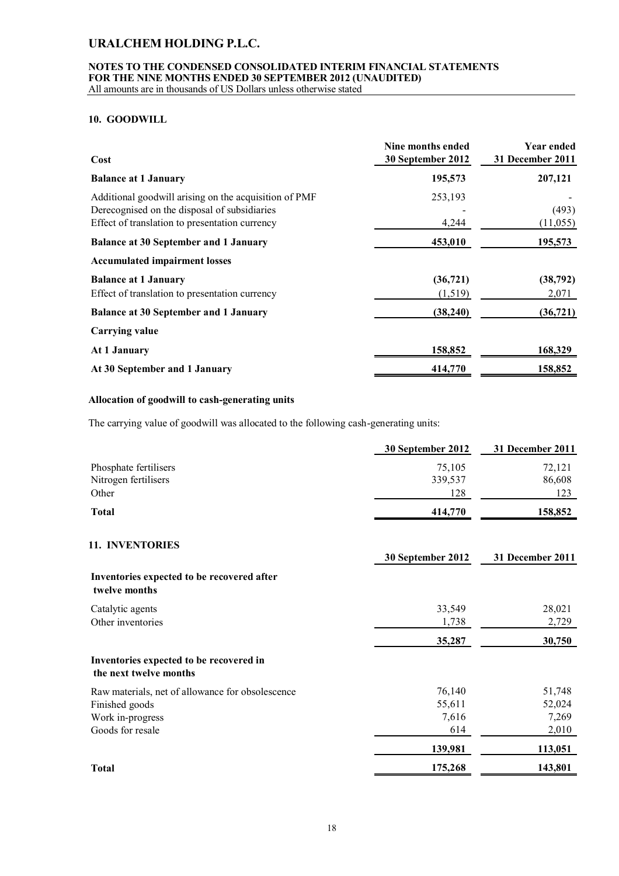# **NOTES TO THE CONDENSED CONSOLIDATED INTERIM FINANCIAL STATEMENTS FOR THE NINE MONTHS ENDED 30 SEPTEMBER 2012 (UNAUDITED)**

All amounts are in thousands of US Dollars unless otherwise stated

### **10. GOODWILL**

| Cost                                                                                                                                                    | Nine months ended<br>30 September 2012 | <b>Year ended</b><br>31 December 2011 |
|---------------------------------------------------------------------------------------------------------------------------------------------------------|----------------------------------------|---------------------------------------|
| <b>Balance at 1 January</b>                                                                                                                             | 195,573                                | 207,121                               |
| Additional goodwill arising on the acquisition of PMF<br>Derecognised on the disposal of subsidiaries<br>Effect of translation to presentation currency | 253,193<br>4,244                       | (493)<br>(11,055)                     |
| <b>Balance at 30 September and 1 January</b>                                                                                                            | 453,010                                | 195,573                               |
| <b>Accumulated impairment losses</b>                                                                                                                    |                                        |                                       |
| <b>Balance at 1 January</b><br>Effect of translation to presentation currency                                                                           | (36, 721)<br>(1,519)                   | (38, 792)<br>2,071                    |
| <b>Balance at 30 September and 1 January</b>                                                                                                            | (38, 240)                              | (36, 721)                             |
| <b>Carrying value</b>                                                                                                                                   |                                        |                                       |
| At 1 January                                                                                                                                            | 158,852                                | 168,329                               |
| At 30 September and 1 January                                                                                                                           | 414,770                                | 158,852                               |

### **Allocation of goodwill to cash-generating units**

The carrying value of goodwill was allocated to the following cash-generating units:

|                                                                   | 30 September 2012 | 31 December 2011 |
|-------------------------------------------------------------------|-------------------|------------------|
| Phosphate fertilisers                                             | 75,105            | 72,121           |
| Nitrogen fertilisers                                              | 339,537           | 86,608           |
| Other                                                             | 128               | 123              |
| <b>Total</b>                                                      | 414,770           | 158,852          |
| 11. INVENTORIES                                                   |                   |                  |
|                                                                   | 30 September 2012 | 31 December 2011 |
| Inventories expected to be recovered after<br>twelve months       |                   |                  |
| Catalytic agents                                                  | 33,549            | 28,021           |
| Other inventories                                                 | 1,738             | 2,729            |
|                                                                   | 35,287            | 30,750           |
| Inventories expected to be recovered in<br>the next twelve months |                   |                  |
| Raw materials, net of allowance for obsolescence                  | 76,140            | 51,748           |
| Finished goods                                                    | 55,611            | 52,024           |
| Work in-progress                                                  | 7,616             | 7,269            |
| Goods for resale                                                  | 614               | 2,010            |
|                                                                   | 139,981           | 113,051          |
| <b>Total</b>                                                      | 175,268           | 143,801          |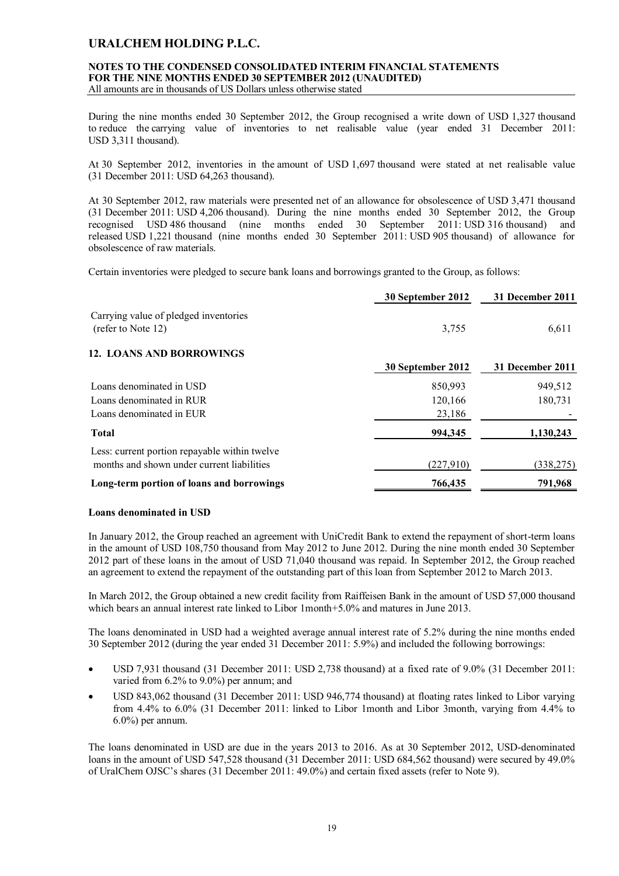# **NOTES TO THE CONDENSED CONSOLIDATED INTERIM FINANCIAL STATEMENTS FOR THE NINE MONTHS ENDED 30 SEPTEMBER 2012 (UNAUDITED)**

All amounts are in thousands of US Dollars unless otherwise stated

During the nine months ended 30 September 2012, the Group recognised a write down of USD 1,327 thousand to reduce the carrying value of inventories to net realisable value (year ended 31 December 2011: USD 3,311 thousand).

At 30 September 2012, inventories in the amount of USD 1,697 thousand were stated at net realisable value (31 December 2011: USD 64,263 thousand).

At 30 September 2012, raw materials were presented net of an allowance for obsolescence of USD 3,471 thousand (31 December 2011: USD 4,206 thousand). During the nine months ended 30 September 2012, the Group recognised USD 486 thousand (nine months ended 30 September 2011: USD 316 thousand) and released USD 1,221 thousand (nine months ended 30 September 2011: USD 905 thousand) of allowance for obsolescence of raw materials.

Certain inventories were pledged to secure bank loans and borrowings granted to the Group, as follows:

|                                                                                             | 30 September 2012 | 31 December 2011 |
|---------------------------------------------------------------------------------------------|-------------------|------------------|
| Carrying value of pledged inventories<br>(refer to Note 12)                                 | 3,755             | 6,611            |
| <b>12. LOANS AND BORROWINGS</b>                                                             |                   |                  |
|                                                                                             | 30 September 2012 | 31 December 2011 |
| Loans denominated in USD                                                                    | 850,993           | 949,512          |
| Loans denominated in RUR                                                                    | 120,166           | 180,731          |
| Loans denominated in EUR                                                                    | 23,186            |                  |
| <b>Total</b>                                                                                | 994.345           | 1.130.243        |
| Less: current portion repayable within twelve<br>months and shown under current liabilities | (227,910)         | (338, 275)       |
|                                                                                             |                   |                  |
| Long-term portion of loans and borrowings                                                   | 766,435           | 791,968          |

### **Loans denominated in USD**

In January 2012, the Group reached an agreement with UniCredit Bank to extend the repayment of short-term loans in the amount of USD 108,750 thousand from May 2012 to June 2012. During the nine month ended 30 September 2012 part of these loans in the amout of USD 71,040 thousand was repaid. In September 2012, the Group reached an agreement to extend the repayment of the outstanding part of this loan from September 2012 to March 2013.

In March 2012, the Group obtained a new credit facility from Raiffeisen Bank in the amount of USD 57,000 thousand which bears an annual interest rate linked to Libor 1month+5.0% and matures in June 2013.

The loans denominated in USD had a weighted average annual interest rate of 5.2% during the nine months ended 30 September 2012 (during the year ended 31 December 2011: 5.9%) and included the following borrowings:

- USD 7,931 thousand (31 December 2011: USD 2,738 thousand) at a fixed rate of 9.0% (31 December 2011: varied from 6.2% to 9.0%) per annum; and
- USD 843,062 thousand (31 December 2011: USD 946,774 thousand) at floating rates linked to Libor varying from 4.4% to 6.0% (31 December 2011: linked to Libor 1month and Libor 3month, varying from 4.4% to 6.0%) per annum.

The loans denominated in USD are due in the years 2013 to 2016. As at 30 September 2012, USD-denominated loans in the amount of USD 547,528 thousand (31 December 2011: USD 684,562 thousand) were secured by 49.0% of UralChem OJSC's shares (31 December 2011: 49.0%) and certain fixed assets (refer to Note 9).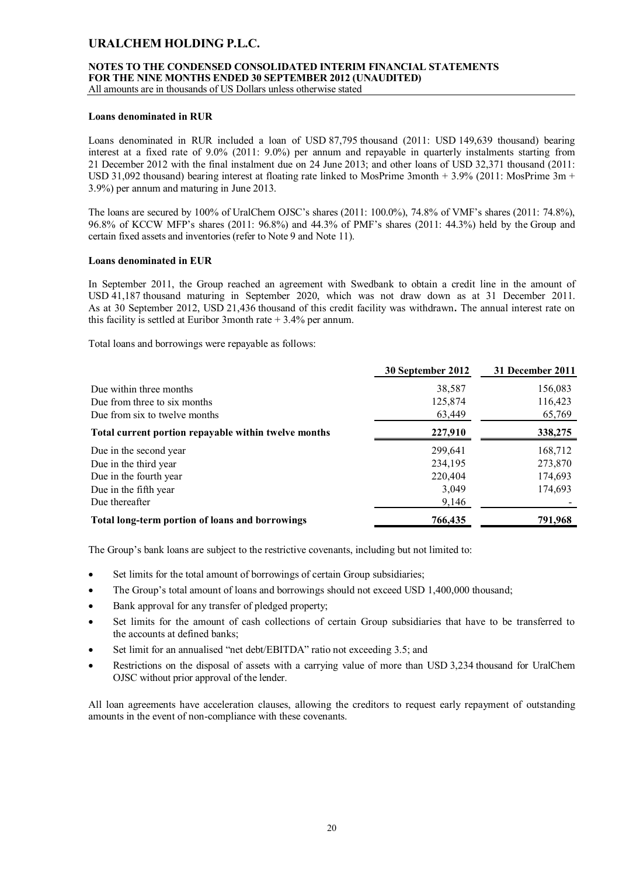### **NOTES TO THE CONDENSED CONSOLIDATED INTERIM FINANCIAL STATEMENTS FOR THE NINE MONTHS ENDED 30 SEPTEMBER 2012 (UNAUDITED)**

All amounts are in thousands of US Dollars unless otherwise stated

### **Loans denominated in RUR**

Loans denominated in RUR included a loan of USD 87,795 thousand (2011: USD 149,639 thousand) bearing interest at a fixed rate of 9.0% (2011: 9.0%) per annum and repayable in quarterly instalments starting from 21 December 2012 with the final instalment due on 24 June 2013; and other loans of USD 32,371 thousand (2011: USD 31,092 thousand) bearing interest at floating rate linked to MosPrime 3month + 3.9% (2011: MosPrime 3m + 3.9%) per annum and maturing in June 2013.

The loans are secured by 100% of UralChem OJSC's shares (2011: 100.0%), 74.8% of VMF's shares (2011: 74.8%), 96.8% of KCCW MFP's shares (2011: 96.8%) and 44.3% of PMF's shares (2011: 44.3%) held by the Group and certain fixed assets and inventories (refer to Note 9 and Note 11).

### **Loans denominated in EUR**

In September 2011, the Group reached an agreement with Swedbank to obtain a credit line in the amount of USD 41,187 thousand maturing in September 2020, which was not draw down as at 31 December 2011. As at 30 September 2012, USD 21,436 thousand of this credit facility was withdrawn**.** The annual interest rate on this facility is settled at Euribor 3month rate  $+3.4\%$  per annum.

Total loans and borrowings were repayable as follows:

|                                                      | 30 September 2012 | 31 December 2011 |
|------------------------------------------------------|-------------------|------------------|
| Due within three months                              | 38,587            | 156,083          |
| Due from three to six months                         | 125,874           | 116,423          |
| Due from six to twelve months                        | 63,449            | 65,769           |
| Total current portion repayable within twelve months | 227,910           | 338,275          |
| Due in the second year                               | 299,641           | 168,712          |
| Due in the third year                                | 234,195           | 273,870          |
| Due in the fourth year                               | 220,404           | 174,693          |
| Due in the fifth year                                | 3,049             | 174,693          |
| Due thereafter                                       | 9,146             |                  |
| Total long-term portion of loans and borrowings      | 766,435           | 791,968          |

The Group's bank loans are subject to the restrictive covenants, including but not limited to:

- Set limits for the total amount of borrowings of certain Group subsidiaries;
- The Group's total amount of loans and borrowings should not exceed USD 1,400,000 thousand;
- Bank approval for any transfer of pledged property;
- Set limits for the amount of cash collections of certain Group subsidiaries that have to be transferred to the accounts at defined banks;
- Set limit for an annualised "net debt/EBITDA" ratio not exceeding 3.5; and
- Restrictions on the disposal of assets with a carrying value of more than USD 3,234 thousand for UralChem OJSC without prior approval of the lender.

All loan agreements have acceleration clauses, allowing the creditors to request early repayment of outstanding amounts in the event of non-compliance with these covenants.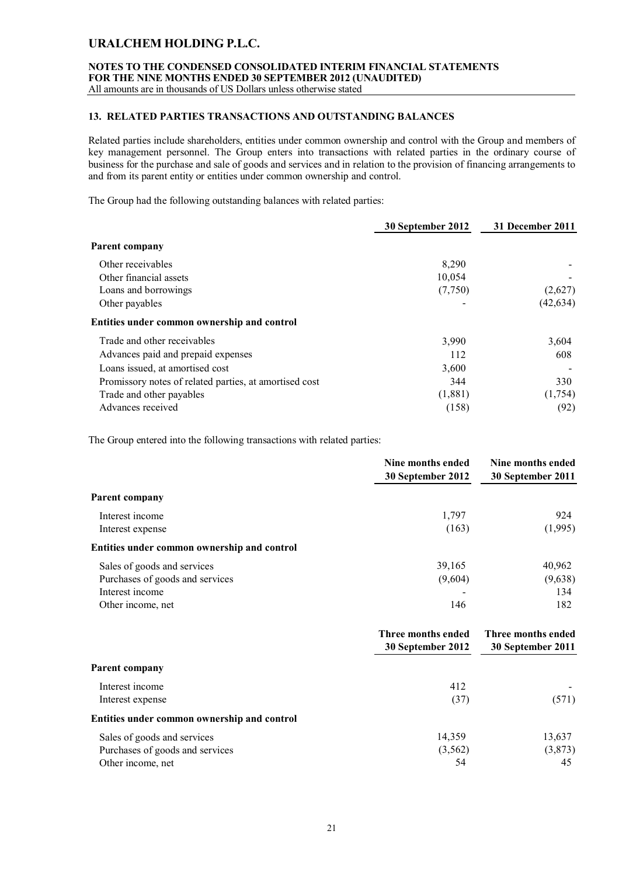# **NOTES TO THE CONDENSED CONSOLIDATED INTERIM FINANCIAL STATEMENTS FOR THE NINE MONTHS ENDED 30 SEPTEMBER 2012 (UNAUDITED)**

All amounts are in thousands of US Dollars unless otherwise stated

### **13. RELATED PARTIES TRANSACTIONS AND OUTSTANDING BALANCES**

Related parties include shareholders, entities under common ownership and control with the Group and members of key management personnel. The Group enters into transactions with related parties in the ordinary course of business for the purchase and sale of goods and services and in relation to the provision of financing arrangements to and from its parent entity or entities under common ownership and control.

The Group had the following outstanding balances with related parties:

|                                                        | 30 September 2012 | 31 December 2011 |
|--------------------------------------------------------|-------------------|------------------|
| Parent company                                         |                   |                  |
| Other receivables                                      | 8,290             |                  |
| Other financial assets                                 | 10,054            |                  |
| Loans and borrowings                                   | (7,750)           | (2,627)          |
| Other payables                                         |                   | (42, 634)        |
| Entities under common ownership and control            |                   |                  |
| Trade and other receivables                            | 3,990             | 3,604            |
| Advances paid and prepaid expenses                     | 112               | 608              |
| Loans issued, at amortised cost                        | 3,600             |                  |
| Promissory notes of related parties, at amortised cost | 344               | 330              |
| Trade and other payables                               | (1,881)           | (1,754)          |
| Advances received                                      | (158)             | (92)             |

The Group entered into the following transactions with related parties:

|                                             | Nine months ended<br>30 September 2012  | Nine months ended<br>30 September 2011  |
|---------------------------------------------|-----------------------------------------|-----------------------------------------|
| Parent company                              |                                         |                                         |
| Interest income                             | 1,797                                   | 924                                     |
| Interest expense                            | (163)                                   | (1,995)                                 |
| Entities under common ownership and control |                                         |                                         |
| Sales of goods and services                 | 39,165                                  | 40,962                                  |
| Purchases of goods and services             | (9,604)                                 | (9,638)                                 |
| Interest income                             |                                         | 134                                     |
| Other income, net                           | 146                                     | 182                                     |
|                                             | Three months ended<br>30 September 2012 | Three months ended<br>30 September 2011 |
| <b>Parent company</b>                       |                                         |                                         |
| Interest income                             | 412                                     |                                         |
| Interest expense                            | (37)                                    | (571)                                   |
| Entities under common ownership and control |                                         |                                         |
| Sales of goods and services                 | 14,359                                  | 13,637                                  |
| Purchases of goods and services             | (3, 562)                                | (3,873)                                 |
| Other income, net                           | 54                                      | 45                                      |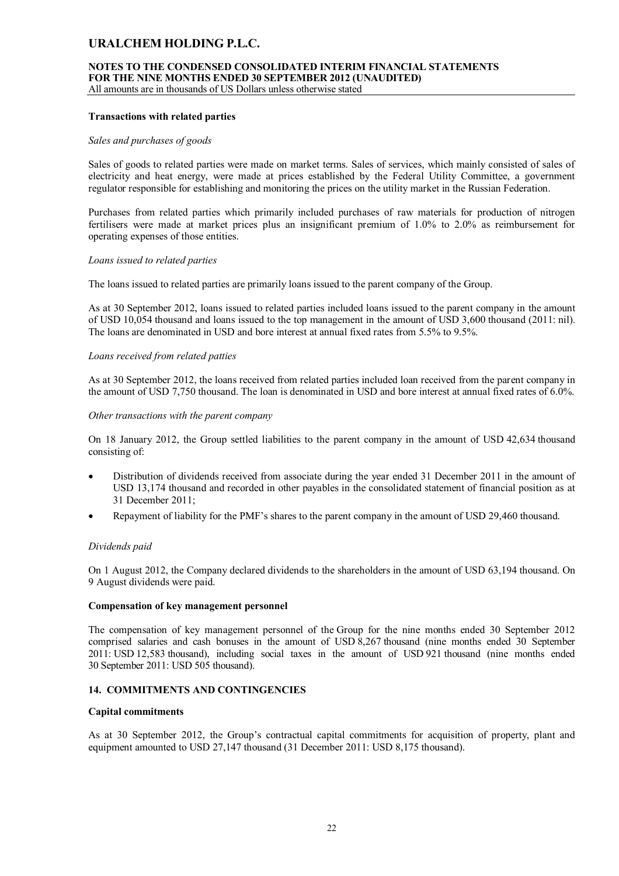### **NOTES TO THE CONDENSED CONSOLIDATED INTERIM FINANCIAL STATEMENTS FOR THE NINE MONTHS ENDED 30 SEPTEMBER 2012 (UNAUDITED)**

All amounts are in thousands of US Dollars unless otherwise stated

### **Transactions with related parties**

#### *Sales and purchases of goods*

Sales of goods to related parties were made on market terms. Sales of services, which mainly consisted of sales of electricity and heat energy, were made at prices established by the Federal Utility Committee, a government regulator responsible for establishing and monitoring the prices on the utility market in the Russian Federation.

Purchases from related parties which primarily included purchases of raw materials for production of nitrogen fertilisers were made at market prices plus an insignificant premium of 1.0% to 2.0% as reimbursement for operating expenses of those entities.

#### *Loans issued to related parties*

The loans issued to related parties are primarily loans issued to the parent company of the Group.

As at 30 September 2012, loans issued to related parties included loans issued to the parent company in the amount of USD 10,054 thousand and loans issued to the top management in the amount of USD 3,600 thousand (2011: nil). The loans are denominated in USD and bore interest at annual fixed rates from 5.5% to 9.5%.

#### *Loans received from related patties*

As at 30 September 2012, the loans received from related parties included loan received from the parent company in the amount of USD 7,750 thousand. The loan is denominated in USD and bore interest at annual fixed rates of 6.0%.

#### *Other transactions with the parent company*

On 18 January 2012, the Group settled liabilities to the parent company in the amount of USD 42,634 thousand consisting of:

- Distribution of dividends received from associate during the year ended 31 December 2011 in the amount of USD 13,174 thousand and recorded in other payables in the consolidated statement of financial position as at 31 December 2011;
- Repayment of liability for the PMF's shares to the parent company in the amount of USD 29,460 thousand.

### *Dividends paid*

On 1 August 2012, the Company declared dividends to the shareholders in the amount of USD 63,194 thousand. On 9 August dividends were paid.

#### **Compensation of key management personnel**

The compensation of key management personnel of the Group for the nine months ended 30 September 2012 comprised salaries and cash bonuses in the amount of USD 8,267 thousand (nine months ended 30 September 2011: USD 12,583 thousand), including social taxes in the amount of USD 921 thousand (nine months ended 30 September 2011: USD 505 thousand).

### **14. COMMITMENTS AND CONTINGENCIES**

#### **Capital commitments**

As at 30 September 2012, the Group's contractual capital commitments for acquisition of property, plant and equipment amounted to USD 27,147 thousand (31 December 2011: USD 8,175 thousand).